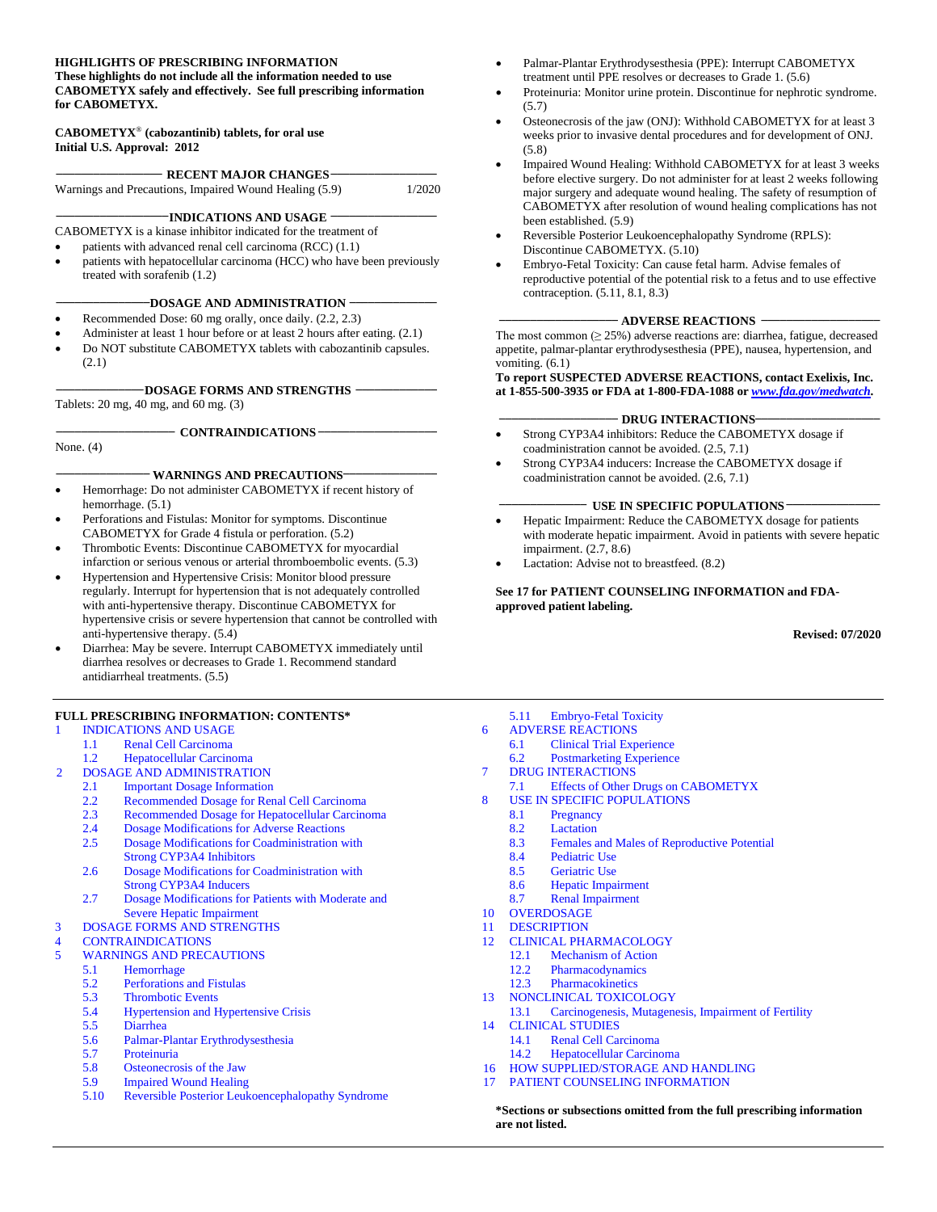#### **HIGHLIGHTS OF PRESCRIBING INFORMATION These highlights do not include all the information needed to use**

**CABOMETYX safely and effectively. See full prescribing information for CABOMETYX.**

#### **CABOMETYX**® **(cabozantinib) tablets, for oral use Initial U.S. Approval: 2012**

| <b>RECENT MAJOR CHANGES-</b>                           |        |
|--------------------------------------------------------|--------|
| Warnings and Precautions, Impaired Wound Healing (5.9) | 1/2020 |

**\_\_\_\_\_\_\_\_\_\_\_\_\_\_\_\_\_\_INDICATIONS AND USAGE \_\_\_\_\_\_\_\_\_\_\_\_\_\_\_\_\_**

- CABOMETYX is a kinase inhibitor indicated for the treatment of
- patients with advanced renal cell carcinoma (RCC) (1.1)
- patients with hepatocellular carcinoma (HCC) who have been previously treated with sorafenib (1.2)

#### **\_\_\_\_\_\_\_\_\_\_\_\_\_\_\_DOSAGE AND ADMINISTRATION \_\_\_\_\_\_\_\_\_\_\_\_\_\_**

- Recommended Dose: 60 mg orally, once daily.  $(2.2, 2.3)$
- Administer at least 1 hour before or at least 2 hours after eating. (2.1)
- Do NOT substitute CABOMETYX tablets with cabozantinib capsules. (2.1)

#### **\_\_\_\_\_\_\_\_\_\_\_\_\_\_DOSAGE FORMS AND STRENGTHS \_\_\_\_\_\_\_\_\_\_\_\_\_**

Tablets: 20 mg, 40 mg, and 60 mg. (3)

**\_\_\_\_\_\_\_\_\_\_\_\_\_\_\_\_\_\_\_ CONTRAINDICATIONS \_\_\_\_\_\_\_\_\_\_\_\_\_\_\_\_\_\_\_**

None. (4)

#### **\_\_\_\_\_\_\_\_\_\_\_\_\_\_\_ WARNINGS AND PRECAUTIONS\_\_\_\_\_\_\_\_\_\_\_\_\_\_\_**

- Hemorrhage: Do not administer CABOMETYX if recent history of hemorrhage. (5.1)
- Perforations and Fistulas: Monitor for symptoms. Discontinue CABOMETYX for Grade 4 fistula or perforation. (5.2)
- Thrombotic Events: Discontinue CABOMETYX for myocardial infarction or serious venous or arterial thromboembolic events. (5.3)
- Hypertension and Hypertensive Crisis: Monitor blood pressure regularly. Interrupt for hypertension that is not adequately controlled with anti-hypertensive therapy. Discontinue CABOMETYX for hypertensive crisis or severe hypertension that cannot be controlled with anti-hypertensive therapy. (5.4)
- Diarrhea: May be severe. Interrupt CABOMETYX immediately until diarrhea resolves or decreases to Grade 1. Recommend standard antidiarrheal treatments. (5.5)

#### **FULL PRESCRIBING INFORMATION: CONTENTS\***

#### 1 [INDICATIONS AND USAGE](#page-1-0)

- 1.1 [Renal Cell Carcinoma](#page-1-1)
- 1.2 [Hepatocellular Carcinoma](#page-1-2)
- 2 [DOSAGE AND ADMINISTRATION](#page-1-3)
	- 2.1 [Important Dosage Information](#page-1-4)<br>2.2 Recommended Dosage for Ren
	- 2.2 [Recommended Dosage for Renal Cell Carcinoma](#page-1-5)<br>2.3 Recommended Dosage for Henatocellular Carcino
	- [Recommended Dosage for Hepatocellular Carcinoma](#page-1-6)
	- 2.4 [Dosage Modifications for Adverse Reactions](#page-1-7)<br>2.5 Dosage Modifications for Coadministration w
	- Dosage Modifications for Coadministration with [Strong CYP3A4 Inhibitors](#page-2-0)
	- 2.6 [Dosage Modifications for Coadministration](#page-2-1) with [Strong CYP3A4 Inducers](#page-2-1)
	- 2.7 [Dosage Modifications for Patients with Moderate and](#page-2-2)  [Severe Hepatic Impairment](#page-2-2)
- 3 [DOSAGE FORMS AND STRENGTHS](#page-3-0)<br>4 CONTRAINDICATIONS
- **[CONTRAINDICATIONS](#page-3-1)**
- 5 [WARNINGS AND PRECAUTIONS](#page-3-2)
	- 5.1 [Hemorrhage](#page-3-3)
	- 5.2 [Perforations and Fistulas](#page-3-4)
	- 5.3 [Thrombotic Events](#page-3-5)
	- 5.4 [Hypertension and Hypertensive Crisis](#page-4-0)<br>5.5 Diarrhea
	- [Diarrhea](#page-4-1)
	- 5.6 [Palmar-Plantar Erythrodysesthesia](#page-4-2)
	- 5.7 [Proteinuria](#page-4-3)
	- [Osteonecrosis of the Jaw](#page-4-4)
	- 5.9 [Impaired Wound Healing](#page-5-0)
	- 5.10 [Reversible Posterior Leukoencephalopathy Syndrome](#page-5-1)
- Palmar-Plantar Erythrodysesthesia (PPE): Interrupt CABOMETYX treatment until PPE resolves or decreases to Grade 1. (5.6)
- Proteinuria: Monitor urine protein. Discontinue for nephrotic syndrome.  $(5.7)$
- Osteonecrosis of the jaw (ONJ): Withhold CABOMETYX for at least 3 weeks prior to invasive dental procedures and for development of ONJ. (5.8)
- Impaired Wound Healing: Withhold CABOMETYX for at least 3 weeks before elective surgery. Do not administer for at least 2 weeks following major surgery and adequate wound healing. The safety of resumption of CABOMETYX after resolution of wound healing complications has not been established. (5.9)
- Reversible Posterior Leukoencephalopathy Syndrome (RPLS): Discontinue CABOMETYX. (5.10)
- Embryo-Fetal Toxicity: Can cause fetal harm. Advise females of reproductive potential of the potential risk to a fetus and to use effective contraception. (5.11, 8.1, 8.3)

#### **\_\_\_\_\_\_\_\_\_\_\_\_\_\_\_\_\_\_\_ ADVERSE REACTIONS \_\_\_\_\_\_\_\_\_\_\_\_\_\_\_\_\_\_\_**

The most common  $(≥ 25%)$  adverse reactions are: diarrhea, fatigue, decreased appetite, palmar-plantar erythrodysesthesia (PPE), nausea, hypertension, and vomiting. (6.1)

#### **To report SUSPECTED ADVERSE REACTIONS, contact Exelixis, Inc. at 1-855-500-3935 or FDA at 1-800-FDA-1088 or** *[www.fda.gov/medwatch](http://www.fda.gov/medwatch)***.**

#### - **DRUG INTERACTIONS**

- Strong CYP3A4 inhibitors: Reduce the CABOMETYX dosage if coadministration cannot be avoided. (2.5, 7.1)
- Strong CYP3A4 inducers: Increase the CABOMETYX dosage if coadministration cannot be avoided. (2.6, 7.1)

#### **\_\_\_\_\_\_\_\_\_\_\_\_\_\_ USE IN SPECIFIC POPULATIONS \_\_\_\_\_\_\_\_\_\_\_\_\_\_\_**

- Hepatic Impairment: Reduce the CABOMETYX dosage for patients with moderate hepatic impairment. Avoid in patients with severe hepatic impairment. (2.7, 8.6)
- Lactation: Advise not to breastfeed. (8.2)

**See 17 for PATIENT COUNSELING INFORMATION and FDAapproved patient labeling.**

**Revised: 07/2020**

- 5.11 [Embryo-Fetal Toxicity](#page-5-2)
- 6 [ADVERSE REACTIONS](#page-5-3) 6.1 [Clinical Trial Experience](#page-5-4)
- 6.2 [Postmarketing Experience](#page-12-0)
- 7 [DRUG INTERACTIONS](#page-13-0)
- 7.1 [Effects of Other Drugs on CABOMETYX](#page-13-1)
- [USE IN SPECIFIC POPULATIONS](#page-13-2)
	- 8.1 [Pregnancy](#page-13-3)
	- 8.2 [Lactation](#page-14-0)
	- 8.3 [Females and Males of Reproductive Potential](#page-14-1)<br>8.4 Pediatric Use
	- [Pediatric Use](#page-14-2)
	- 8.5 [Geriatric Use](#page-15-0)
	- 8.6 [Hepatic Impairment](#page-15-1)
	- 8.7 [Renal Impairment](#page-15-2)
- 10 [OVERDOSAGE](#page-15-3)
- 11 [DESCRIPTION](#page-15-4)
- 12 [CLINICAL PHARMACOLOGY](#page-16-0)
	- 12.1 [Mechanism of Action](#page-16-1)<br>12.2 Pharmacodynamics
	- 12.2 [Pharmacodynamics](#page-16-2)<br>12.3 Pharmacokinetics **[Pharmacokinetics](#page-17-0)**
- 13 [NONCLINICAL TOXICOLOGY](#page-19-0)
- 13.1 [Carcinogenesis, Mutagenesis, Impairment of Fertility](#page-19-1)
- 14 [CLINICAL STUDIES](#page-20-0)
	- 14.1 [Renal Cell Carcinoma](#page-20-1)
	- 14.2 [Hepatocellular Carcinoma](#page-24-0)
- 16 [HOW SUPPLIED/STORAGE AND HANDLING](#page-27-0)
- 17 [PATIENT COUNSELING INFORMATION](#page-27-1)

**\*Sections or subsections omitted from the full prescribing information are not listed.**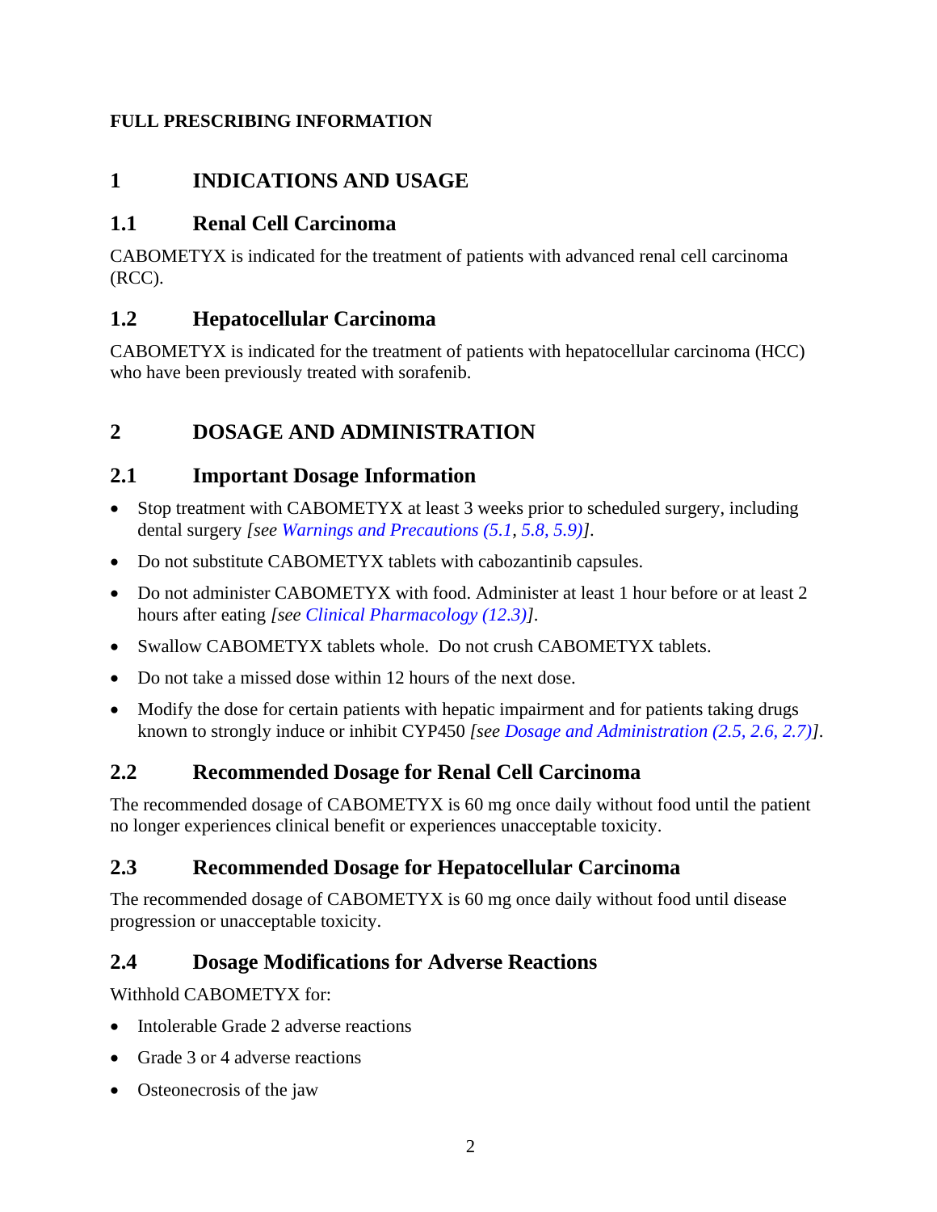### <span id="page-1-0"></span>**FULL PRESCRIBING INFORMATION**

# **1 INDICATIONS AND USAGE**

### <span id="page-1-1"></span>**1.1 Renal Cell Carcinoma**

CABOMETYX is indicated for the treatment of patients with advanced renal cell carcinoma (RCC).

## <span id="page-1-2"></span>**1.2 Hepatocellular Carcinoma**

CABOMETYX is indicated for the treatment of patients with hepatocellular carcinoma (HCC) who have been previously treated with sorafenib.

# <span id="page-1-3"></span>**2 DOSAGE AND ADMINISTRATION**

### <span id="page-1-4"></span>**2.1 Important Dosage Information**

- Stop treatment with CABOMETYX at least 3 weeks prior to scheduled surgery, including dental surgery *[see [Warnings and Precautions \(5.1,](#page-3-3) [5.8,](#page-4-4) [5.9\)\]](#page-5-0)*.
- Do not substitute CABOMETYX tablets with cabozantinib capsules.
- Do not administer CABOMETYX with food. Administer at least 1 hour before or at least 2 hours after eating *[see [Clinical Pharmacology \(12.3\)\]](#page-17-0)*.
- Swallow CABOMETYX tablets whole. Do not crush CABOMETYX tablets.
- Do not take a missed dose within 12 hours of the next dose.
- Modify the dose for certain patients with hepatic impairment and for patients taking drugs known to strongly induce or inhibit CYP450 *[see [Dosage and Administration \(2.5,](#page-2-0) [2.6,](#page-2-1) [2.7\)\]](#page-2-2)*.

## <span id="page-1-5"></span>**2.2 Recommended Dosage for Renal Cell Carcinoma**

The recommended dosage of CABOMETYX is 60 mg once daily without food until the patient no longer experiences clinical benefit or experiences unacceptable toxicity.

### <span id="page-1-6"></span>**2.3 Recommended Dosage for Hepatocellular Carcinoma**

The recommended dosage of CABOMETYX is 60 mg once daily without food until disease progression or unacceptable toxicity.

## <span id="page-1-7"></span>**2.4 Dosage Modifications for Adverse Reactions**

Withhold CABOMETYX for:

- Intolerable Grade 2 adverse reactions
- Grade 3 or 4 adverse reactions
- Osteonecrosis of the jaw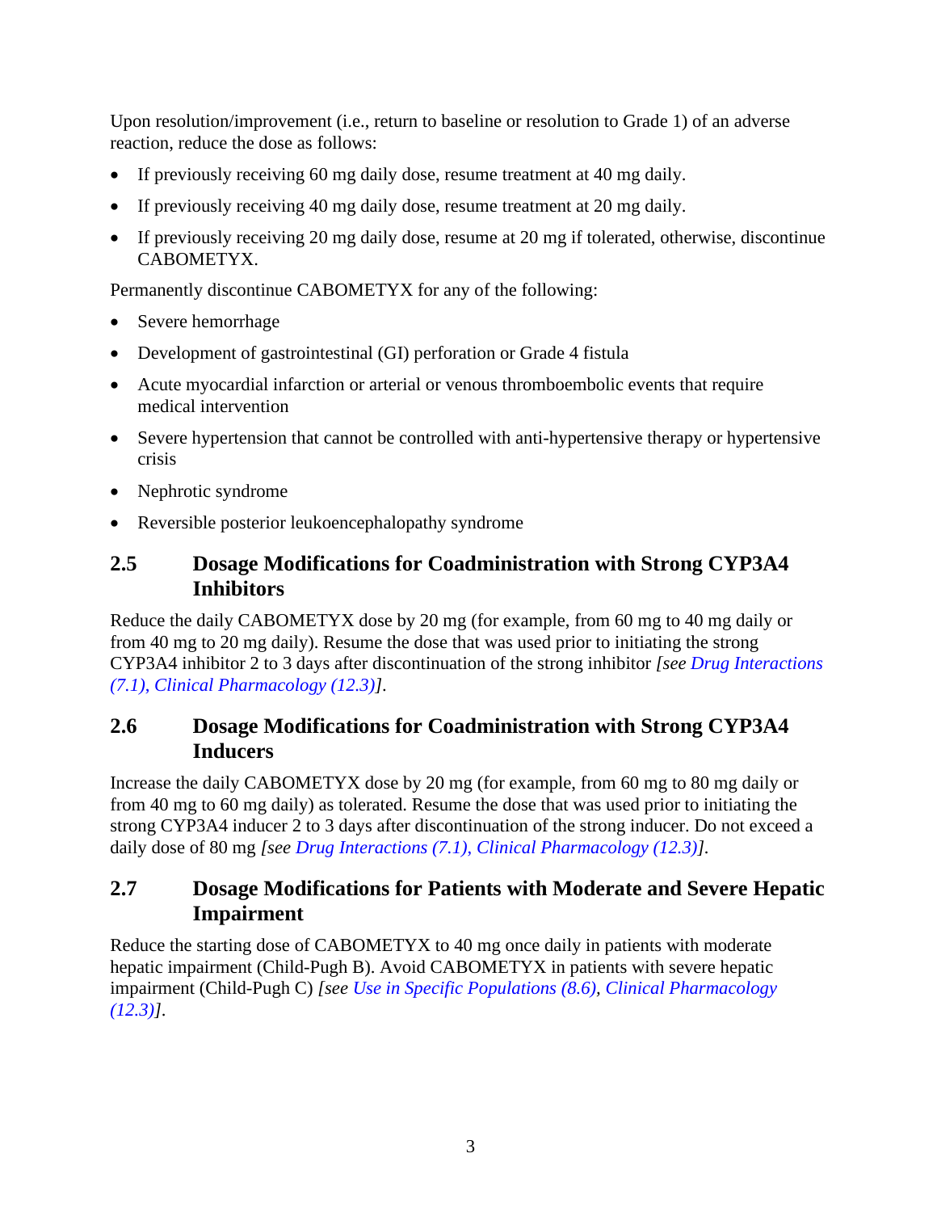Upon resolution/improvement (i.e., return to baseline or resolution to Grade 1) of an adverse reaction, reduce the dose as follows:

- If previously receiving 60 mg daily dose, resume treatment at 40 mg daily.
- If previously receiving 40 mg daily dose, resume treatment at 20 mg daily.
- If previously receiving 20 mg daily dose, resume at 20 mg if tolerated, otherwise, discontinue CABOMETYX.

Permanently discontinue CABOMETYX for any of the following:

- Severe hemorrhage
- Development of gastrointestinal (GI) perforation or Grade 4 fistula
- Acute myocardial infarction or arterial or venous thromboembolic events that require medical intervention
- Severe hypertension that cannot be controlled with anti-hypertensive therapy or hypertensive crisis
- Nephrotic syndrome
- Reversible posterior leukoencephalopathy syndrome

### <span id="page-2-0"></span>**2.5 Dosage Modifications for Coadministration with Strong CYP3A4 Inhibitors**

Reduce the daily CABOMETYX dose by 20 mg (for example, from 60 mg to 40 mg daily or from 40 mg to 20 mg daily). Resume the dose that was used prior to initiating the strong CYP3A4 inhibitor 2 to 3 days after discontinuation of the strong inhibitor *[see [Drug Interactions](#page-13-1)  [\(7.1\)](#page-13-1)*, *[Clinical Pharmacology \(12.3\)\]](#page-17-0)*.

### <span id="page-2-1"></span>**2.6 Dosage Modifications for Coadministration with Strong CYP3A4 Inducers**

Increase the daily CABOMETYX dose by 20 mg (for example, from 60 mg to 80 mg daily or from 40 mg to 60 mg daily) as tolerated. Resume the dose that was used prior to initiating the strong CYP3A4 inducer 2 to 3 days after discontinuation of the strong inducer. Do not exceed a daily dose of 80 mg *[see [Drug Interactions \(7.1\)](#page-13-1)*, *[Clinical Pharmacology](#page-17-0) (12.3)].*

### <span id="page-2-2"></span>**2.7 Dosage Modifications for Patients with Moderate and Severe Hepatic Impairment**

Reduce the starting dose of CABOMETYX to 40 mg once daily in patients with moderate hepatic impairment (Child-Pugh B). Avoid CABOMETYX in patients with severe hepatic impairment (Child-Pugh C) *[see [Use in Specific Populations \(8.6\),](#page-15-1) [Clinical Pharmacology](#page-17-0)  [\(12.3\)\]](#page-17-0)*.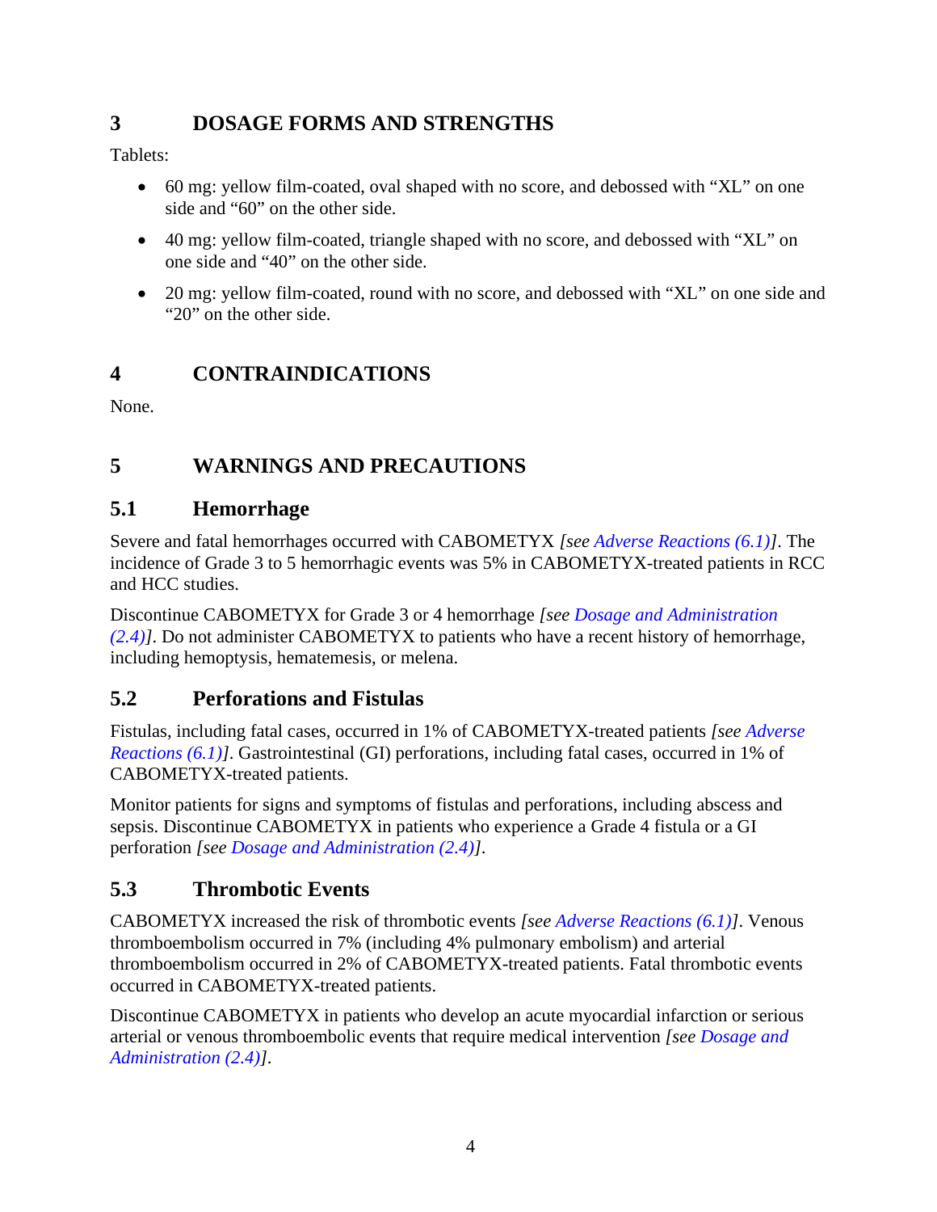# <span id="page-3-0"></span>**3 DOSAGE FORMS AND STRENGTHS**

Tablets:

- 60 mg: yellow film-coated, oval shaped with no score, and debossed with "XL" on one side and "60" on the other side.
- 40 mg: yellow film-coated, triangle shaped with no score, and debossed with "XL" on one side and "40" on the other side.
- 20 mg: yellow film-coated, round with no score, and debossed with "XL" on one side and "20" on the other side.

# <span id="page-3-1"></span>**4 CONTRAINDICATIONS**

None.

# <span id="page-3-2"></span>**5 WARNINGS AND PRECAUTIONS**

# <span id="page-3-3"></span>**5.1 Hemorrhage**

Severe and fatal hemorrhages occurred with CABOMETYX *[see [Adverse Reactions \(6.1\)\]](#page-5-4)*. The incidence of Grade 3 to 5 hemorrhagic events was 5% in CABOMETYX-treated patients in RCC and HCC studies.

Discontinue CABOMETYX for Grade 3 or 4 hemorrhage *[see [Dosage and Administration](#page-1-7) [\(2.4\)\]](#page-1-7)*. Do not administer CABOMETYX to patients who have a recent history of hemorrhage, including hemoptysis, hematemesis, or melena.

# <span id="page-3-4"></span>**5.2 Perforations and Fistulas**

Fistulas, including fatal cases, occurred in 1% of CABOMETYX-treated patients *[see [Adverse](#page-5-4)  [Reactions \(6.1\)\]](#page-5-4)*. Gastrointestinal (GI) perforations, including fatal cases, occurred in 1% of CABOMETYX-treated patients.

Monitor patients for signs and symptoms of fistulas and perforations, including abscess and sepsis. Discontinue CABOMETYX in patients who experience a Grade 4 fistula or a GI perforation *[see [Dosage and Administration \(2.4\)\]](#page-1-7)*.

# <span id="page-3-5"></span>**5.3 Thrombotic Events**

CABOMETYX increased the risk of thrombotic events *[see [Adverse Reactions \(6.1\)\]](#page-5-4)*. Venous thromboembolism occurred in 7% (including 4% pulmonary embolism) and arterial thromboembolism occurred in 2% of CABOMETYX-treated patients. Fatal thrombotic events occurred in CABOMETYX-treated patients.

Discontinue CABOMETYX in patients who develop an acute myocardial infarction or serious arterial or venous thromboembolic events that require medical intervention *[see [Dosage and](#page-1-7)  [Administration \(2.4\)\]](#page-1-7)*.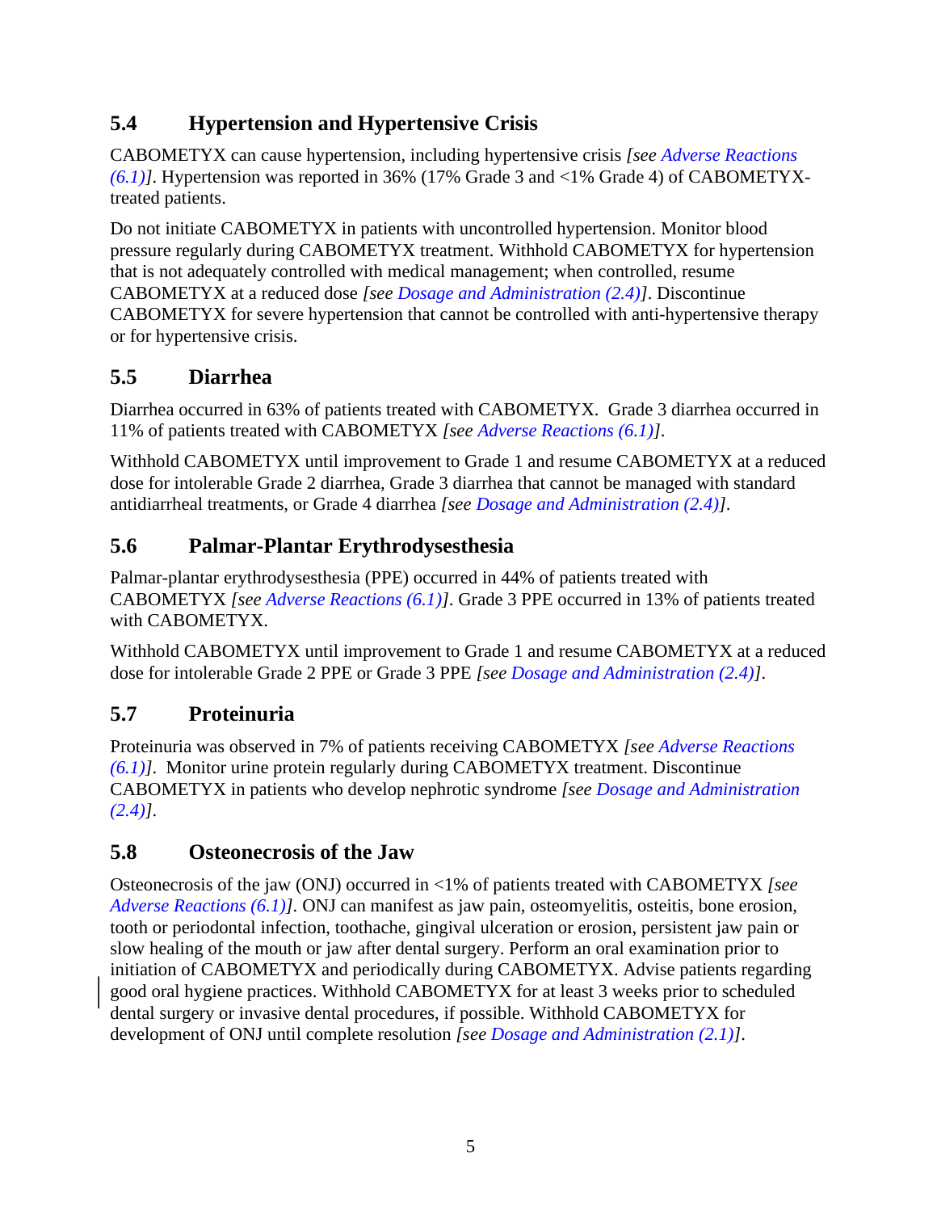# <span id="page-4-0"></span>**5.4 Hypertension and Hypertensive Crisis**

CABOMETYX can cause hypertension, including hypertensive crisis *[see [Adverse Reactions](#page-5-4)  [\(6.1\)\]](#page-5-4)*. Hypertension was reported in 36% (17% Grade 3 and <1% Grade 4) of CABOMETYXtreated patients.

Do not initiate CABOMETYX in patients with uncontrolled hypertension. Monitor blood pressure regularly during CABOMETYX treatment. Withhold CABOMETYX for hypertension that is not adequately controlled with medical management; when controlled, resume CABOMETYX at a reduced dose *[see [Dosage and Administration \(2.4\)\]](#page-1-7)*. Discontinue CABOMETYX for severe hypertension that cannot be controlled with anti-hypertensive therapy or for hypertensive crisis.

# <span id="page-4-1"></span>**5.5 Diarrhea**

Diarrhea occurred in 63% of patients treated with CABOMETYX. Grade 3 diarrhea occurred in 11% of patients treated with CABOMETYX *[see [Adverse Reactions \(6.1\)\]](#page-5-4)*.

Withhold CABOMETYX until improvement to Grade 1 and resume CABOMETYX at a reduced dose for intolerable Grade 2 diarrhea, Grade 3 diarrhea that cannot be managed with standard antidiarrheal treatments, or Grade 4 diarrhea *[see [Dosage and Administration \(2.4\)\]](#page-1-7)*.

# <span id="page-4-2"></span>**5.6 Palmar-Plantar Erythrodysesthesia**

Palmar-plantar erythrodysesthesia (PPE) occurred in 44% of patients treated with CABOMETYX *[see [Adverse Reactions \(6.1\)\]](#page-5-4)*. Grade 3 PPE occurred in 13% of patients treated with CABOMETYX.

Withhold CABOMETYX until improvement to Grade 1 and resume CABOMETYX at a reduced dose for intolerable Grade 2 PPE or Grade 3 PPE *[see [Dosage and Administration \(2.4\)\]](#page-1-7)*.

# <span id="page-4-3"></span>**5.7 Proteinuria**

Proteinuria was observed in 7% of patients receiving CABOMETYX *[see [Adverse Reactions](#page-5-4)  [\(6.1\)\]](#page-5-4)*. Monitor urine protein regularly during CABOMETYX treatment. Discontinue CABOMETYX in patients who develop nephrotic syndrome *[see [Dosage and Administration](#page-1-7)  [\(2.4\)\]](#page-1-7)*.

# <span id="page-4-4"></span>**5.8 Osteonecrosis of the Jaw**

Osteonecrosis of the jaw (ONJ) occurred in <1% of patients treated with CABOMETYX *[see [Adverse Reactions \(6.1\)\]](#page-5-4)*. ONJ can manifest as jaw pain, osteomyelitis, osteitis, bone erosion, tooth or periodontal infection, toothache, gingival ulceration or erosion, persistent jaw pain or slow healing of the mouth or jaw after dental surgery. Perform an oral examination prior to initiation of CABOMETYX and periodically during CABOMETYX. Advise patients regarding good oral hygiene practices. Withhold CABOMETYX for at least 3 weeks prior to scheduled dental surgery or invasive dental procedures, if possible. Withhold CABOMETYX for development of ONJ until complete resolution *[see [Dosage and Administration \(2.1\)\]](#page-1-4)*.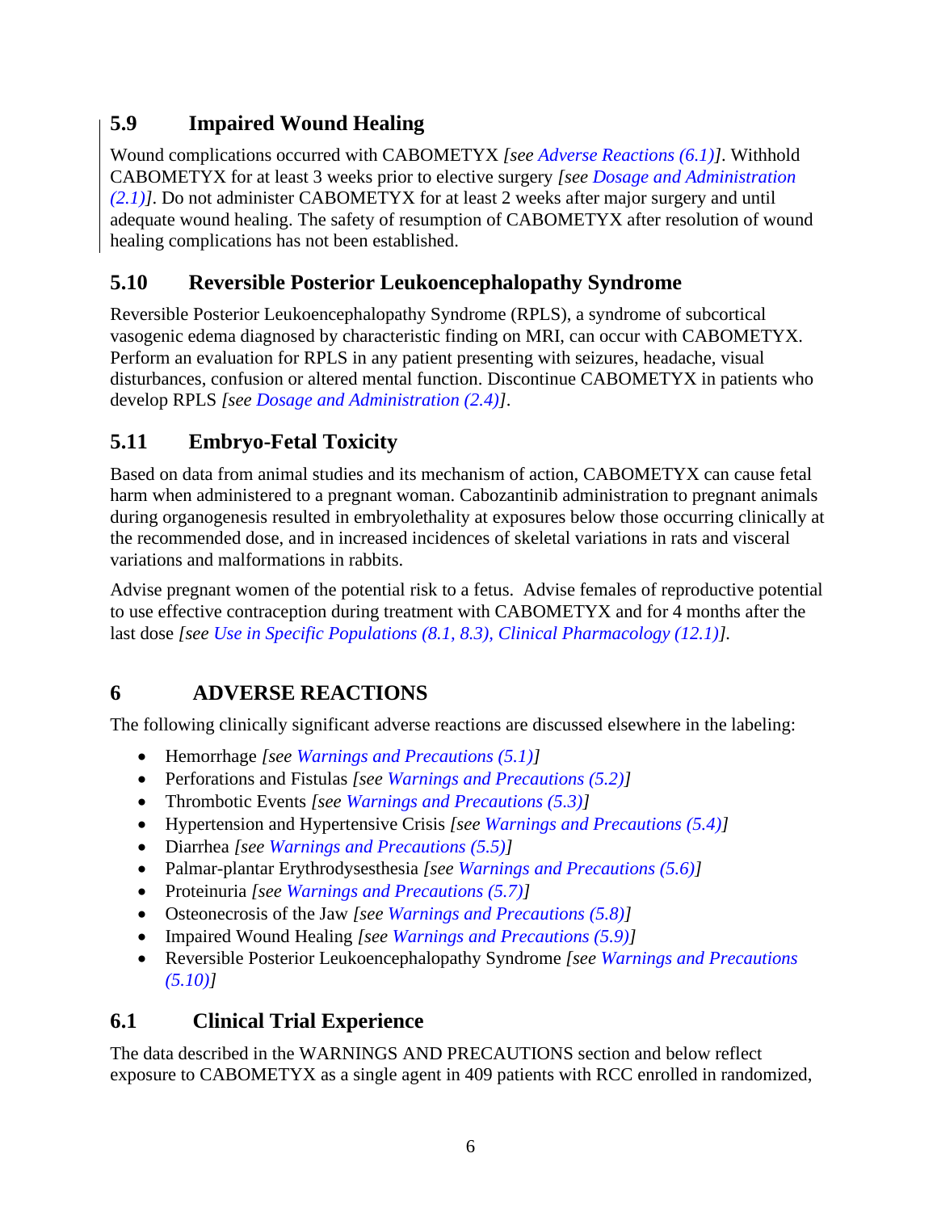## <span id="page-5-0"></span>**5.9 Impaired Wound Healing**

Wound complications occurred with CABOMETYX *[see [Adverse Reactions \(6.1\)\]](#page-5-4)*. Withhold CABOMETYX for at least 3 weeks prior to elective surgery *[see [Dosage and Administration](#page-1-4)  [\(2.1\)\]](#page-1-4)*. Do not administer CABOMETYX for at least 2 weeks after major surgery and until adequate wound healing. The safety of resumption of CABOMETYX after resolution of wound healing complications has not been established.

## <span id="page-5-1"></span>**5.10 Reversible Posterior Leukoencephalopathy Syndrome**

Reversible Posterior Leukoencephalopathy Syndrome (RPLS), a syndrome of subcortical vasogenic edema diagnosed by characteristic finding on MRI, can occur with CABOMETYX. Perform an evaluation for RPLS in any patient presenting with seizures, headache, visual disturbances, confusion or altered mental function. Discontinue CABOMETYX in patients who develop RPLS *[see [Dosage and Administration \(2.4\)\]](#page-1-7)*.

# <span id="page-5-2"></span>**5.11 Embryo-Fetal Toxicity**

Based on data from animal studies and its mechanism of action, CABOMETYX can cause fetal harm when administered to a pregnant woman. Cabozantinib administration to pregnant animals during organogenesis resulted in embryolethality at exposures below those occurring clinically at the recommended dose, and in increased incidences of skeletal variations in rats and visceral variations and malformations in rabbits.

Advise pregnant women of the potential risk to a fetus. Advise females of reproductive potential to use effective contraception during treatment with CABOMETYX and for 4 months after the last dose *[see [Use in Specific Populations \(8.1,](#page-13-3) [8.3\),](#page-14-1) [Clinical Pharmacology \(12.1\)\]](#page-16-1).*

# <span id="page-5-3"></span>**6 ADVERSE REACTIONS**

The following clinically significant adverse reactions are discussed elsewhere in the labeling:

- Hemorrhage *[see [Warnings and Precautions \(5.1\)\]](#page-3-3)*
- Perforations and Fistulas *[see [Warnings and Precautions \(5.2\)\]](#page-3-4)*
- Thrombotic Events *[see [Warnings and Precautions \(5.3\)\]](#page-3-5)*
- Hypertension and Hypertensive Crisis *[see [Warnings and Precautions \(5.4\)\]](#page-4-0)*
- Diarrhea *[see [Warnings and Precautions \(5.5\)\]](#page-4-1)*
- Palmar-plantar Erythrodysesthesia *[see [Warnings and Precautions \(5.6\)\]](#page-4-2)*
- Proteinuria *[see [Warnings and Precautions \(5.7\)\]](#page-4-3)*
- Osteonecrosis of the Jaw *[see [Warnings and Precautions \(5.8\)\]](#page-4-4)*
- Impaired Wound Healing *[see [Warnings and Precautions \(5.9\)\]](#page-5-0)*
- Reversible Posterior Leukoencephalopathy Syndrome *[see [Warnings and Precautions](#page-5-1)  [\(5.10\)\]](#page-5-1)*

# <span id="page-5-4"></span>**6.1 Clinical Trial Experience**

The data described in the WARNINGS AND PRECAUTIONS section and below reflect exposure to CABOMETYX as a single agent in 409 patients with RCC enrolled in randomized,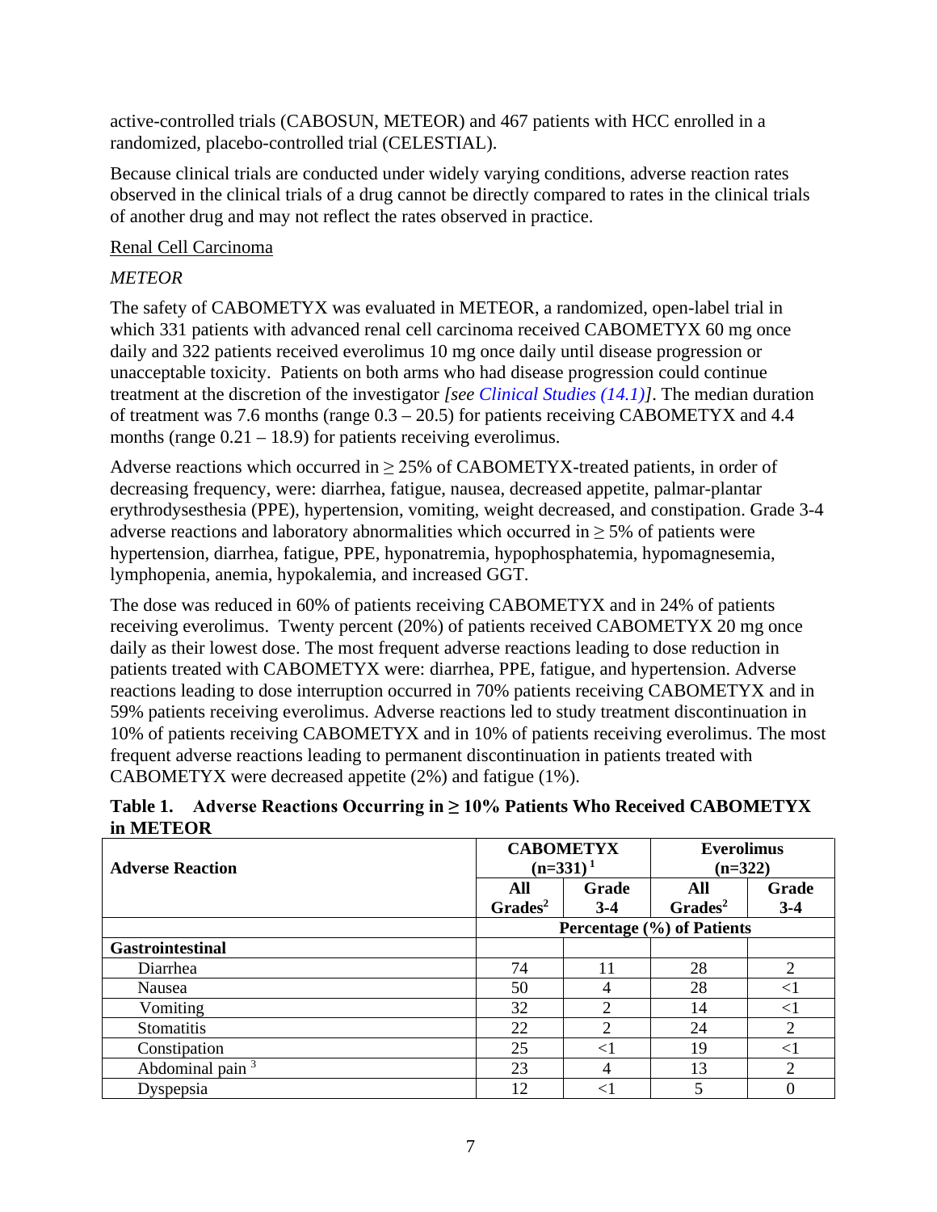active-controlled trials (CABOSUN, METEOR) and 467 patients with HCC enrolled in a randomized, placebo-controlled trial (CELESTIAL).

Because clinical trials are conducted under widely varying conditions, adverse reaction rates observed in the clinical trials of a drug cannot be directly compared to rates in the clinical trials of another drug and may not reflect the rates observed in practice.

### Renal Cell Carcinoma

### *METEOR*

The safety of CABOMETYX was evaluated in METEOR, a randomized, open-label trial in which 331 patients with advanced renal cell carcinoma received CABOMETYX 60 mg once daily and 322 patients received everolimus 10 mg once daily until disease progression or unacceptable toxicity. Patients on both arms who had disease progression could continue treatment at the discretion of the investigator *[see [Clinical Studies \(14.1\)\]](#page-20-1)*. The median duration of treatment was 7.6 months (range 0.3 – 20.5) for patients receiving CABOMETYX and 4.4 months (range  $0.21 - 18.9$ ) for patients receiving everolimus.

Adverse reactions which occurred in  $\geq$  25% of CABOMETYX-treated patients, in order of decreasing frequency, were: diarrhea, fatigue, nausea, decreased appetite, palmar-plantar erythrodysesthesia (PPE), hypertension, vomiting, weight decreased, and constipation. Grade 3-4 adverse reactions and laboratory abnormalities which occurred in  $> 5\%$  of patients were hypertension, diarrhea, fatigue, PPE, hyponatremia, hypophosphatemia, hypomagnesemia, lymphopenia, anemia, hypokalemia, and increased GGT.

The dose was reduced in 60% of patients receiving CABOMETYX and in 24% of patients receiving everolimus. Twenty percent (20%) of patients received CABOMETYX 20 mg once daily as their lowest dose. The most frequent adverse reactions leading to dose reduction in patients treated with CABOMETYX were: diarrhea, PPE, fatigue, and hypertension. Adverse reactions leading to dose interruption occurred in 70% patients receiving CABOMETYX and in 59% patients receiving everolimus. Adverse reactions led to study treatment discontinuation in 10% of patients receiving CABOMETYX and in 10% of patients receiving everolimus. The most frequent adverse reactions leading to permanent discontinuation in patients treated with CABOMETYX were decreased appetite (2%) and fatigue (1%).

|           | Table 1. Adverse Reactions Occurring in $\geq 10\%$ Patients Who Received CABOMETYX |
|-----------|-------------------------------------------------------------------------------------|
| in METEOR |                                                                                     |

| <b>CABOMETYX</b>            |                     |                       | <b>Everolimus</b>          |                             |
|-----------------------------|---------------------|-----------------------|----------------------------|-----------------------------|
| <b>Adverse Reaction</b>     |                     | $(n=331)^1$           | $(n=322)$                  |                             |
|                             | All                 | Grade                 | All                        | Grade                       |
|                             | Grades <sup>2</sup> | $3-4$                 | Grades <sup>2</sup>        | $3-4$                       |
|                             |                     |                       | Percentage (%) of Patients |                             |
| <b>Gastrointestinal</b>     |                     |                       |                            |                             |
| Diarrhea                    | 74                  | 11                    | 28                         | $\mathcal{D}_{\mathcal{L}}$ |
| Nausea                      | 50                  |                       | 28                         | ${<}1$                      |
| Vomiting                    | 32                  | ↑                     | 14                         | $<$ 1                       |
| Stomatitis                  | 22                  | $\mathcal{D}_{\cdot}$ | 24                         | $\overline{2}$              |
| Constipation                | 25                  | ${<}1$                | 19                         | $<$ 1                       |
| Abdominal pain <sup>3</sup> | 23                  | 4                     | 13                         | $\mathcal{D}_{\mathcal{L}}$ |
| Dyspepsia                   | 12                  |                       |                            |                             |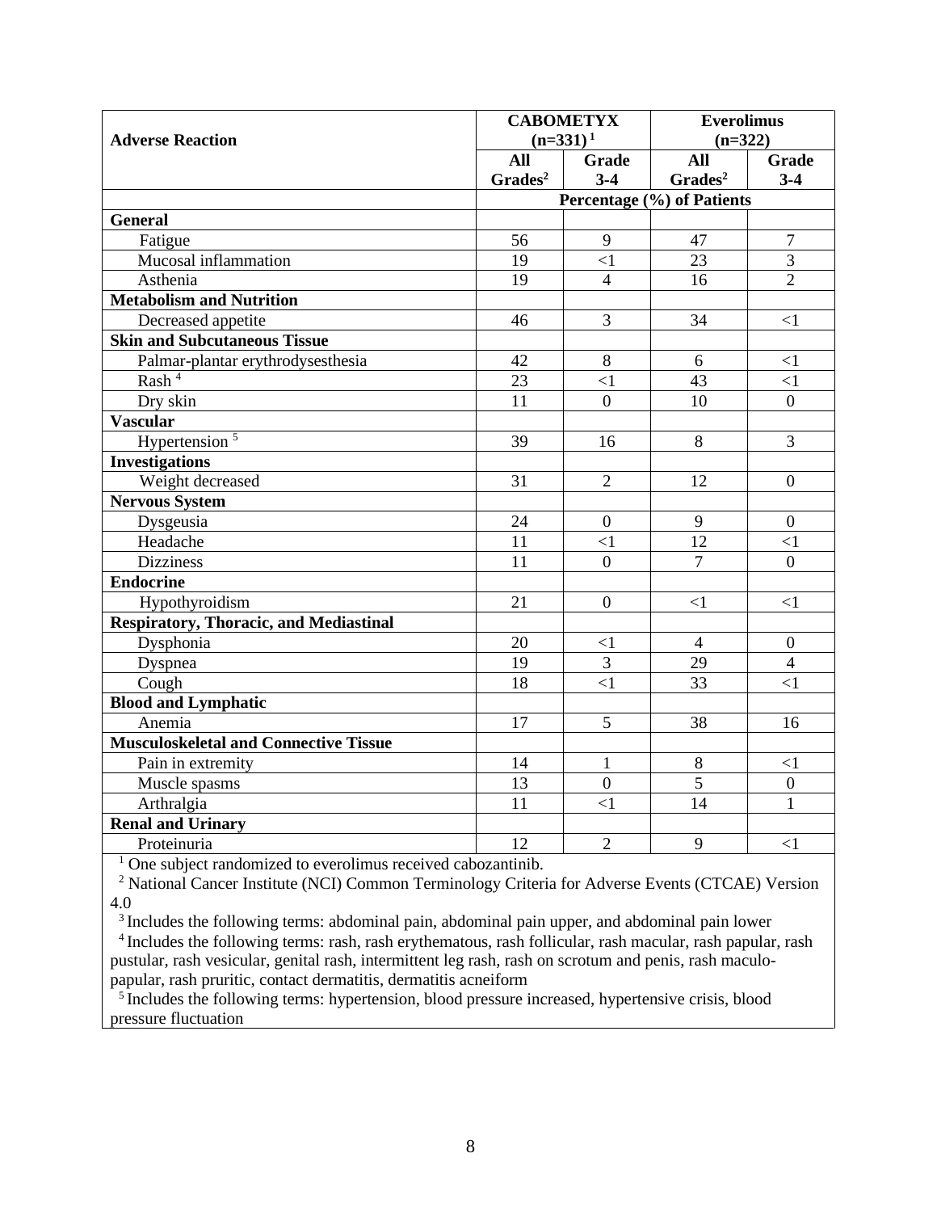|                                               | <b>CABOMETYX</b>    |                  | <b>Everolimus</b>          |                  |
|-----------------------------------------------|---------------------|------------------|----------------------------|------------------|
| <b>Adverse Reaction</b>                       | $(n=331)^1$         |                  | $(n=322)$                  |                  |
|                                               | All                 | <b>Grade</b>     | <b>All</b>                 | <b>Grade</b>     |
|                                               | Grades <sup>2</sup> | $3-4$            | Grades <sup>2</sup>        | $3 - 4$          |
|                                               |                     |                  | Percentage (%) of Patients |                  |
| <b>General</b>                                |                     |                  |                            |                  |
| Fatigue                                       | 56                  | 9                | 47                         | $\tau$           |
| Mucosal inflammation                          | 19                  | $\leq$ 1         | 23                         | 3                |
| Asthenia                                      | 19                  | $\overline{4}$   | 16                         | $\overline{2}$   |
| <b>Metabolism and Nutrition</b>               |                     |                  |                            |                  |
| Decreased appetite                            | 46                  | 3                | 34                         | $\leq$ 1         |
| <b>Skin and Subcutaneous Tissue</b>           |                     |                  |                            |                  |
| Palmar-plantar erythrodysesthesia             | 42                  | 8                | 6                          | $<$ 1            |
| Rash <sup>4</sup>                             | 23                  | $\leq$ 1         | 43                         | $\leq$ 1         |
| Dry skin                                      | 11                  | $\theta$         | 10                         | $\boldsymbol{0}$ |
| <b>Vascular</b>                               |                     |                  |                            |                  |
| Hypertension <sup>5</sup>                     | 39                  | 16               | 8                          | $\overline{3}$   |
| <b>Investigations</b>                         |                     |                  |                            |                  |
| Weight decreased                              | 31                  | $\overline{2}$   | 12                         | $\overline{0}$   |
| Nervous System                                |                     |                  |                            |                  |
| Dysgeusia                                     | 24                  | $\overline{0}$   | 9                          | $\boldsymbol{0}$ |
| Headache                                      | 11                  | $\leq$ 1         | 12                         | $\leq$ 1         |
| <b>Dizziness</b>                              | 11                  | $\Omega$         | $\overline{7}$             | $\overline{0}$   |
| <b>Endocrine</b>                              |                     |                  |                            |                  |
| Hypothyroidism                                | 21                  | $\boldsymbol{0}$ | $\leq$ 1                   | $\leq$ 1         |
| <b>Respiratory, Thoracic, and Mediastinal</b> |                     |                  |                            |                  |
| Dysphonia                                     | 20                  | $\leq$ 1         | $\overline{4}$             | $\boldsymbol{0}$ |
| Dyspnea                                       | 19                  | $\overline{3}$   | $\overline{29}$            | $\overline{4}$   |
| Cough                                         | 18                  | $\leq$ 1         | 33                         | $\leq$ 1         |
| <b>Blood and Lymphatic</b>                    |                     |                  |                            |                  |
| Anemia                                        | 17                  | 5                | 38                         | 16               |
| <b>Musculoskeletal and Connective Tissue</b>  |                     |                  |                            |                  |
| Pain in extremity                             | 14                  | 1                | $8\,$                      | $\leq$ 1         |
| Muscle spasms                                 | 13                  | $\overline{0}$   | $\overline{5}$             | $\boldsymbol{0}$ |
| Arthralgia                                    | 11                  | $\leq$ 1         | 14                         | $\mathbf{1}$     |
| <b>Renal and Urinary</b>                      |                     |                  |                            |                  |
| Proteinuria                                   | 12                  | $\overline{2}$   | 9                          | $\leq$ 1         |

<sup>1</sup> One subject randomized to everolimus received cabozantinib.

<sup>2</sup> National Cancer Institute (NCI) Common Terminology Criteria for Adverse Events (CTCAE) Version 4.0

 $3$  Includes the following terms: abdominal pain, abdominal pain upper, and abdominal pain lower

<sup>4</sup> Includes the following terms: rash, rash erythematous, rash follicular, rash macular, rash papular, rash pustular, rash vesicular, genital rash, intermittent leg rash, rash on scrotum and penis, rash maculopapular, rash pruritic, contact dermatitis, dermatitis acneiform

<sup>5</sup> Includes the following terms: hypertension, blood pressure increased, hypertensive crisis, blood pressure fluctuation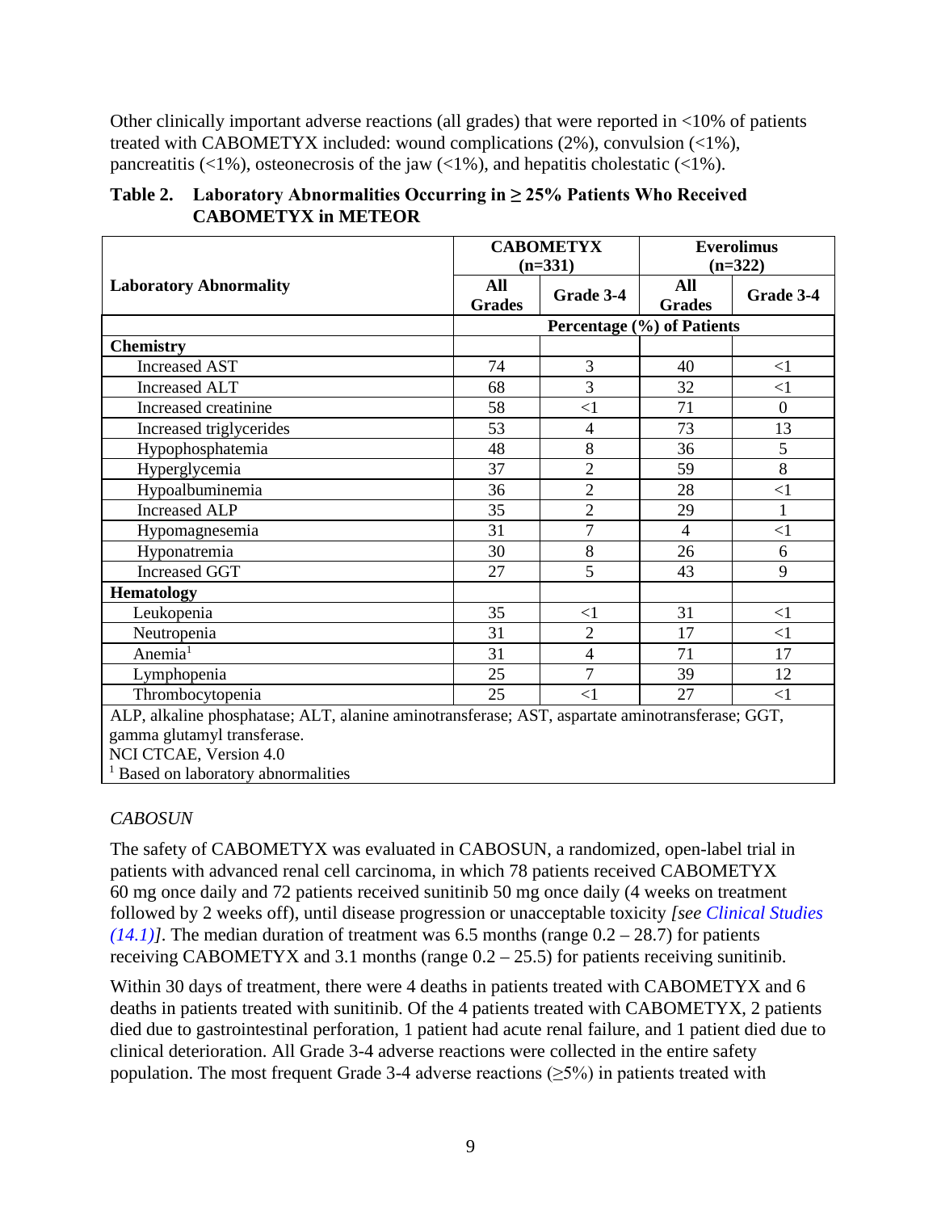Other clinically important adverse reactions (all grades) that were reported in <10% of patients treated with CABOMETYX included: wound complications (2%), convulsion (<1%), pancreatitis  $\left( \langle 1\% \rangle \right)$ , osteonecrosis of the jaw  $\left( \langle 1\% \rangle \right)$ , and hepatitis cholestatic  $\left( \langle 1\% \rangle \right)$ .

|                                                                                                 |                      | <b>CABOMETYX</b>           |                             | <b>Everolimus</b> |  |
|-------------------------------------------------------------------------------------------------|----------------------|----------------------------|-----------------------------|-------------------|--|
|                                                                                                 | $(n=331)$            |                            | $(n=322)$                   |                   |  |
| <b>Laboratory Abnormality</b>                                                                   | All<br><b>Grades</b> | Grade 3-4                  | <b>All</b><br><b>Grades</b> | Grade 3-4         |  |
|                                                                                                 |                      | Percentage (%) of Patients |                             |                   |  |
| <b>Chemistry</b>                                                                                |                      |                            |                             |                   |  |
| <b>Increased AST</b>                                                                            | 74                   | 3                          | 40                          | $\leq$ 1          |  |
| <b>Increased ALT</b>                                                                            | 68                   | 3                          | 32                          | $\leq$ 1          |  |
| Increased creatinine                                                                            | 58                   | $\leq$ 1                   | 71                          | $\overline{0}$    |  |
| Increased triglycerides                                                                         | 53                   | 4                          | 73                          | 13                |  |
| Hypophosphatemia                                                                                | 48                   | 8                          | 36                          | 5                 |  |
| Hyperglycemia                                                                                   | 37                   | $\overline{2}$             | 59                          | 8                 |  |
| Hypoalbuminemia                                                                                 | 36                   | $\overline{2}$             | 28                          | $\leq$ 1          |  |
| <b>Increased ALP</b>                                                                            | 35                   | $\overline{2}$             | 29                          | $\mathbf{1}$      |  |
| Hypomagnesemia                                                                                  | 31                   | 7                          | $\overline{4}$              | $\leq$ 1          |  |
| Hyponatremia                                                                                    | 30                   | 8                          | 26                          | 6                 |  |
| <b>Increased GGT</b>                                                                            | 27                   | 5                          | 43                          | 9                 |  |
| <b>Hematology</b>                                                                               |                      |                            |                             |                   |  |
| Leukopenia                                                                                      | 35                   | $<$ 1                      | 31                          | $<$ 1             |  |
| Neutropenia                                                                                     | 31                   | $\overline{2}$             | 17                          | <1                |  |
| Anemia <sup>1</sup>                                                                             | 31                   | $\overline{4}$             | 71                          | 17                |  |
| Lymphopenia                                                                                     | 25                   | 7                          | 39                          | 12                |  |
| Thrombocytopenia                                                                                | 25                   | $\leq$ 1                   | 27                          | $<$ 1             |  |
| ALP, alkaline phosphatase; ALT, alanine aminotransferase; AST, aspartate aminotransferase; GGT, |                      |                            |                             |                   |  |
| gamma glutamyl transferase                                                                      |                      |                            |                             |                   |  |

#### **Table 2. Laboratory Abnormalities Occurring in ≥ 25% Patients Who Received CABOMETYX in METEOR**

gamma glutamyl transferase. NCI CTCAE, Version 4.0

<sup>1</sup> Based on laboratory abnormalities

### *CABOSUN*

The safety of CABOMETYX was evaluated in CABOSUN, a randomized, open-label trial in patients with advanced renal cell carcinoma, in which 78 patients received CABOMETYX 60 mg once daily and 72 patients received sunitinib 50 mg once daily (4 weeks on treatment followed by 2 weeks off), until disease progression or unacceptable toxicity *[see [Clinical Studies](#page-20-1)*   $(14.1)$ ]. The median duration of treatment was 6.5 months (range  $0.2 - 28.7$ ) for patients receiving CABOMETYX and 3.1 months (range  $0.2 - 25.5$ ) for patients receiving sunitinib.

Within 30 days of treatment, there were 4 deaths in patients treated with CABOMETYX and 6 deaths in patients treated with sunitinib. Of the 4 patients treated with CABOMETYX, 2 patients died due to gastrointestinal perforation, 1 patient had acute renal failure, and 1 patient died due to clinical deterioration. All Grade 3-4 adverse reactions were collected in the entire safety population. The most frequent Grade 3-4 adverse reactions ( $\geq$ 5%) in patients treated with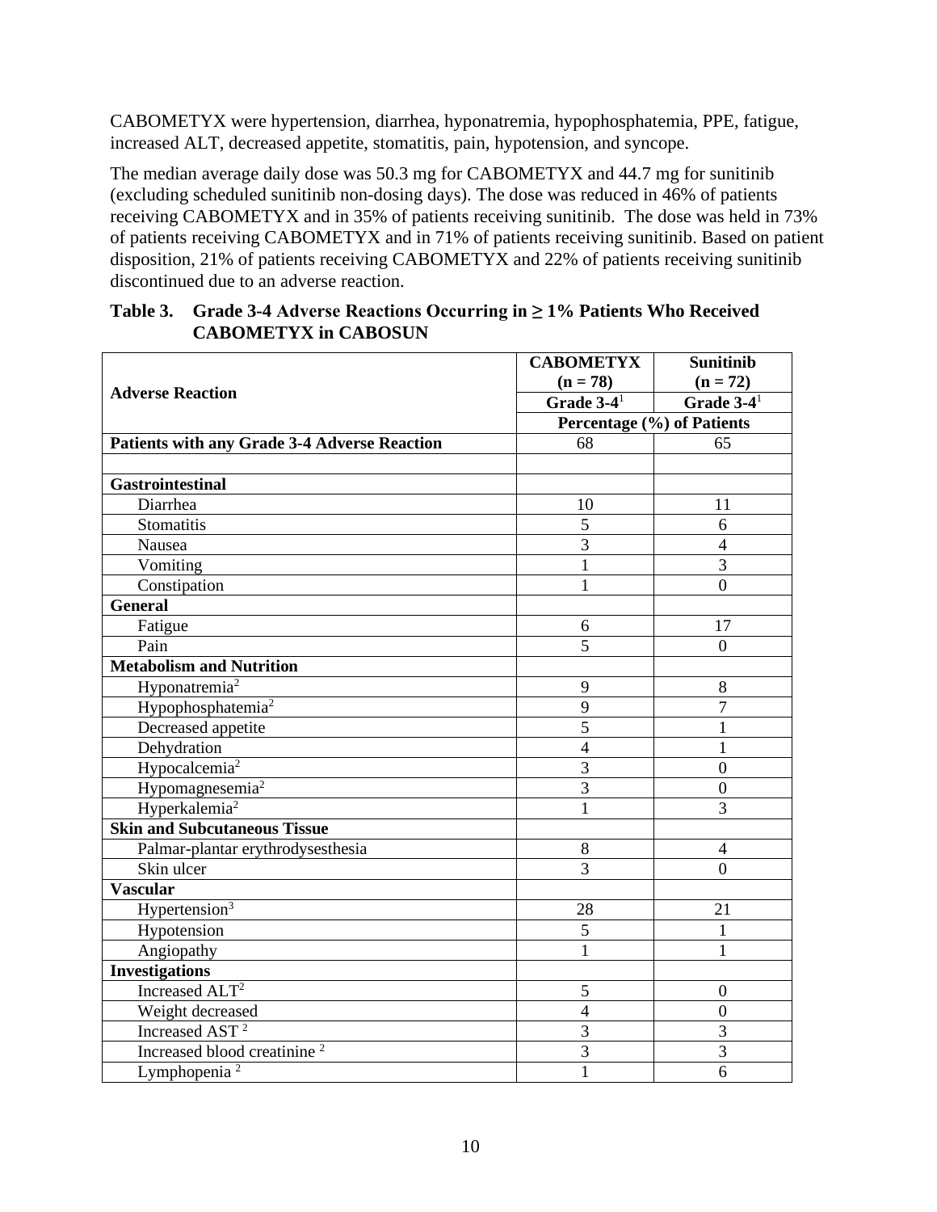CABOMETYX were hypertension, diarrhea, hyponatremia, hypophosphatemia, PPE, fatigue, increased ALT, decreased appetite, stomatitis, pain, hypotension, and syncope.

The median average daily dose was 50.3 mg for CABOMETYX and 44.7 mg for sunitinib (excluding scheduled sunitinib non-dosing days). The dose was reduced in 46% of patients receiving CABOMETYX and in 35% of patients receiving sunitinib. The dose was held in 73% of patients receiving CABOMETYX and in 71% of patients receiving sunitinib. Based on patient disposition, 21% of patients receiving CABOMETYX and 22% of patients receiving sunitinib discontinued due to an adverse reaction.

| Table 3. Grade 3-4 Adverse Reactions Occurring in $\geq$ 1% Patients Who Received<br><b>CABOMETYX in CABOSUN</b> |  |
|------------------------------------------------------------------------------------------------------------------|--|
|                                                                                                                  |  |

|                                                     | <b>CABOMETYX</b>           | <b>Sunitinib</b>         |
|-----------------------------------------------------|----------------------------|--------------------------|
|                                                     | $(n = 78)$                 | $(n = 72)$               |
| <b>Adverse Reaction</b>                             | Grade $3-4$ <sup>1</sup>   | Grade $3-4$ <sup>1</sup> |
|                                                     | Percentage (%) of Patients |                          |
| <b>Patients with any Grade 3-4 Adverse Reaction</b> | 68<br>65                   |                          |
|                                                     |                            |                          |
| <b>Gastrointestinal</b>                             |                            |                          |
| Diarrhea                                            | 10                         | 11                       |
| <b>Stomatitis</b>                                   | 5                          | 6                        |
| Nausea                                              | $\overline{3}$             | $\overline{4}$           |
| Vomiting                                            | $\mathbf{1}$               | $\overline{3}$           |
| Constipation                                        | $\mathbf{1}$               | $\theta$                 |
| <b>General</b>                                      |                            |                          |
| Fatigue                                             | 6                          | 17                       |
| Pain                                                | 5                          | $\overline{0}$           |
| <b>Metabolism and Nutrition</b>                     |                            |                          |
| Hyponatremia <sup>2</sup>                           | 9                          | 8                        |
| Hypophosphatemia <sup>2</sup>                       | 9                          | $\overline{7}$           |
| Decreased appetite                                  | $\overline{5}$             | 1                        |
| Dehydration                                         | $\overline{4}$             | 1                        |
| Hypocalcemia <sup>2</sup>                           | 3                          | $\overline{0}$           |
| Hypomagnesemia <sup>2</sup>                         | 3                          | $\overline{0}$           |
| Hyperkalemia <sup>2</sup>                           | $\mathbf{1}$               | 3                        |
| <b>Skin and Subcutaneous Tissue</b>                 |                            |                          |
| Palmar-plantar erythrodysesthesia                   | 8                          | $\overline{4}$           |
| Skin ulcer                                          | $\overline{3}$             | $\overline{0}$           |
| Vascular                                            |                            |                          |
| Hypertension <sup>3</sup>                           | 28                         | 21                       |
| Hypotension                                         | 5                          | 1                        |
| Angiopathy                                          | $\mathbf{1}$               | 1                        |
| <b>Investigations</b>                               |                            |                          |
| Increased ALT <sup>2</sup>                          | 5                          | $\boldsymbol{0}$         |
| Weight decreased                                    | $\overline{4}$             | $\overline{0}$           |
| Increased AST <sup>2</sup>                          | $\overline{3}$             | $\overline{3}$           |
| Increased blood creatinine <sup>2</sup>             | $\overline{3}$             | $\overline{3}$           |
| Lymphopenia <sup>2</sup>                            | $\mathbf{1}$               | 6                        |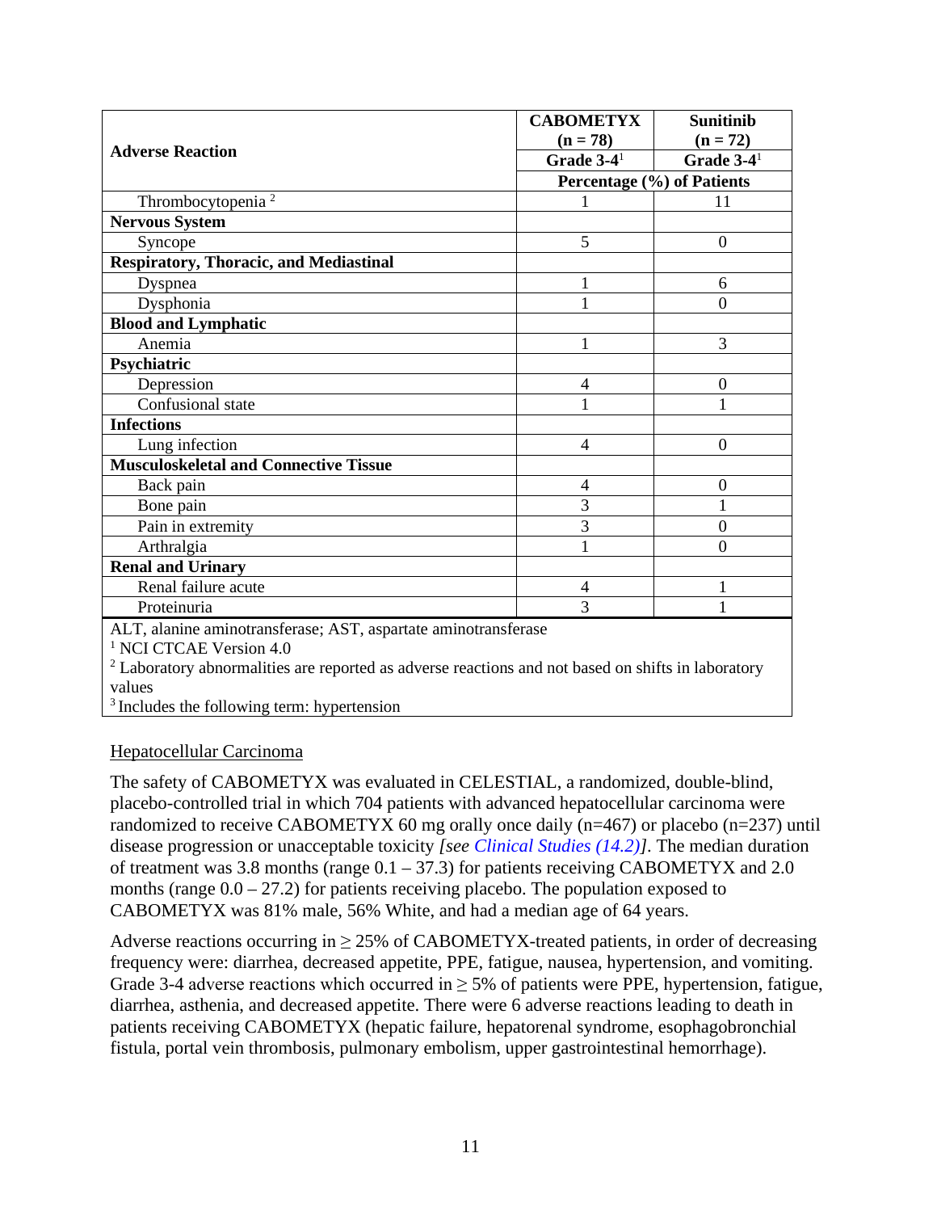|                                                                                                               | <b>CABOMETYX</b>           | <b>Sunitinib</b>         |  |
|---------------------------------------------------------------------------------------------------------------|----------------------------|--------------------------|--|
|                                                                                                               | $(n = 78)$                 | $(n = 72)$               |  |
| <b>Adverse Reaction</b>                                                                                       | Grade $3-4$ <sup>1</sup>   | Grade $3-4$ <sup>1</sup> |  |
|                                                                                                               | Percentage (%) of Patients |                          |  |
| Thrombocytopenia <sup>2</sup>                                                                                 |                            | 11                       |  |
| <b>Nervous System</b>                                                                                         |                            |                          |  |
| Syncope                                                                                                       | 5                          | $\theta$                 |  |
| <b>Respiratory, Thoracic, and Mediastinal</b>                                                                 |                            |                          |  |
| Dyspnea                                                                                                       | 1                          | 6                        |  |
| Dysphonia                                                                                                     | 1                          | $\theta$                 |  |
| <b>Blood and Lymphatic</b>                                                                                    |                            |                          |  |
| Anemia                                                                                                        | 1                          | 3                        |  |
| Psychiatric                                                                                                   |                            |                          |  |
| Depression                                                                                                    | 4                          | $\overline{0}$           |  |
| Confusional state                                                                                             | 1                          | 1                        |  |
| <b>Infections</b>                                                                                             |                            |                          |  |
| Lung infection                                                                                                | 4                          | $\Omega$                 |  |
| <b>Musculoskeletal and Connective Tissue</b>                                                                  |                            |                          |  |
| Back pain                                                                                                     | 4                          | $\boldsymbol{0}$         |  |
| Bone pain                                                                                                     | $\overline{3}$             | 1                        |  |
| Pain in extremity                                                                                             | $\overline{3}$             | $\overline{0}$           |  |
| Arthralgia                                                                                                    | $\mathbf{1}$               | $\theta$                 |  |
| <b>Renal and Urinary</b>                                                                                      |                            |                          |  |
| Renal failure acute                                                                                           | 4                          | 1                        |  |
| Proteinuria                                                                                                   | 3                          |                          |  |
| ALT, alanine aminotransferase; AST, aspartate aminotransferase                                                |                            |                          |  |
| <sup>1</sup> NCI CTCAE Version 4.0                                                                            |                            |                          |  |
| <sup>2</sup> Laboratory abnormalities are reported as adverse reactions and not based on shifts in laboratory |                            |                          |  |
| values                                                                                                        |                            |                          |  |
| <sup>3</sup> Includes the following term: hypertension                                                        |                            |                          |  |

#### Hepatocellular Carcinoma

The safety of CABOMETYX was evaluated in CELESTIAL, a randomized, double-blind, placebo-controlled trial in which 704 patients with advanced hepatocellular carcinoma were randomized to receive CABOMETYX 60 mg orally once daily (n=467) or placebo (n=237) until disease progression or unacceptable toxicity *[see [Clinical Studies \(14.2\)\]](#page-24-0)*. The median duration of treatment was 3.8 months (range  $0.1 - 37.3$ ) for patients receiving CABOMETYX and 2.0 months (range  $0.0 - 27.2$ ) for patients receiving placebo. The population exposed to CABOMETYX was 81% male, 56% White, and had a median age of 64 years.

Adverse reactions occurring in  $\geq$  25% of CABOMETYX-treated patients, in order of decreasing frequency were: diarrhea, decreased appetite, PPE, fatigue, nausea, hypertension, and vomiting. Grade 3-4 adverse reactions which occurred in  $\geq$  5% of patients were PPE, hypertension, fatigue, diarrhea, asthenia, and decreased appetite. There were 6 adverse reactions leading to death in patients receiving CABOMETYX (hepatic failure, hepatorenal syndrome, esophagobronchial fistula, portal vein thrombosis, pulmonary embolism, upper gastrointestinal hemorrhage).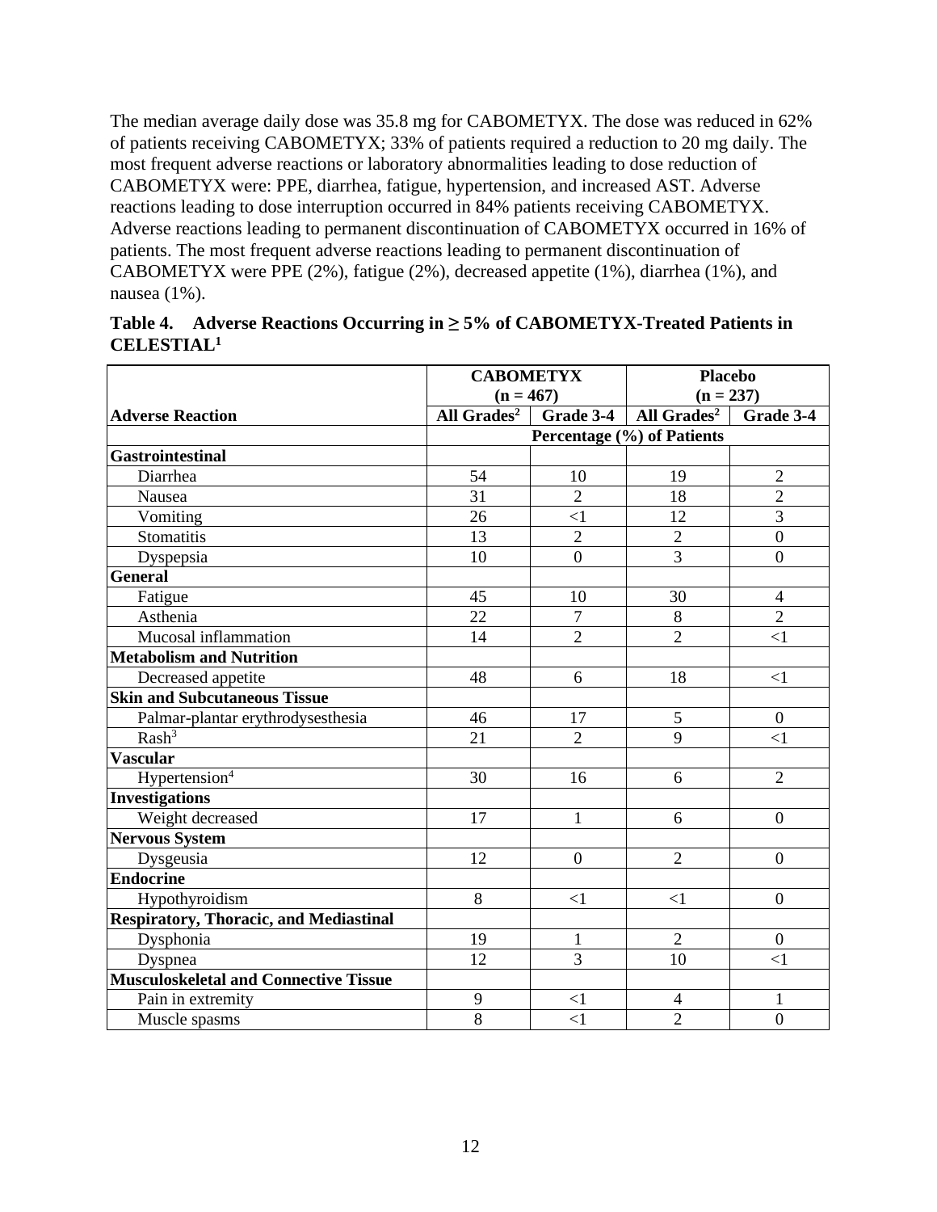The median average daily dose was 35.8 mg for CABOMETYX. The dose was reduced in 62% of patients receiving CABOMETYX; 33% of patients required a reduction to 20 mg daily. The most frequent adverse reactions or laboratory abnormalities leading to dose reduction of CABOMETYX were: PPE, diarrhea, fatigue, hypertension, and increased AST. Adverse reactions leading to dose interruption occurred in 84% patients receiving CABOMETYX. Adverse reactions leading to permanent discontinuation of CABOMETYX occurred in 16% of patients. The most frequent adverse reactions leading to permanent discontinuation of CABOMETYX were PPE (2%), fatigue (2%), decreased appetite (1%), diarrhea (1%), and nausea (1%).

| <b>CABOMETYX</b>                              |                                   | <b>Placebo</b> |                            |                  |
|-----------------------------------------------|-----------------------------------|----------------|----------------------------|------------------|
|                                               | $(n = 467)$                       |                | $(n = 237)$                |                  |
| <b>Adverse Reaction</b>                       | All Grades <sup>2</sup> Grade 3-4 |                | All Grades <sup>2</sup>    | Grade 3-4        |
|                                               |                                   |                | Percentage (%) of Patients |                  |
| <b>Gastrointestinal</b>                       |                                   |                |                            |                  |
| Diarrhea                                      | 54                                | 10             | 19                         | $\overline{2}$   |
| Nausea                                        | 31                                | $\overline{2}$ | 18                         | $\overline{2}$   |
| Vomiting                                      | 26                                | $\leq$ 1       | 12                         | $\overline{3}$   |
| <b>Stomatitis</b>                             | 13                                | $\overline{2}$ | $\overline{2}$             | $\overline{0}$   |
| Dyspepsia                                     | 10                                | $\overline{0}$ | $\overline{3}$             | $\overline{0}$   |
| <b>General</b>                                |                                   |                |                            |                  |
| Fatigue                                       | 45                                | 10             | 30                         | $\overline{4}$   |
| Asthenia                                      | 22                                | $\overline{7}$ | 8                          | $\overline{2}$   |
| Mucosal inflammation                          | 14                                | $\overline{2}$ | $\overline{2}$             | $\leq$ 1         |
| <b>Metabolism and Nutrition</b>               |                                   |                |                            |                  |
| Decreased appetite                            | 48                                | 6              | 18                         | $\leq$ 1         |
| <b>Skin and Subcutaneous Tissue</b>           |                                   |                |                            |                  |
| Palmar-plantar erythrodysesthesia             | 46                                | 17             | 5                          | $\overline{0}$   |
| Rash <sup>3</sup>                             | 21                                | $\overline{2}$ | 9                          | $\leq$ 1         |
| <b>Vascular</b>                               |                                   |                |                            |                  |
| Hypertension <sup>4</sup>                     | 30                                | 16             | 6                          | $\overline{2}$   |
| <b>Investigations</b>                         |                                   |                |                            |                  |
| Weight decreased                              | 17                                | $\mathbf{1}$   | 6                          | $\boldsymbol{0}$ |
| <b>Nervous System</b>                         |                                   |                |                            |                  |
| Dysgeusia                                     | 12                                | $\mathbf{0}$   | $\overline{2}$             | $\boldsymbol{0}$ |
| <b>Endocrine</b>                              |                                   |                |                            |                  |
| Hypothyroidism                                | $8\,$                             | $<$ 1          | $<$ 1                      | $\boldsymbol{0}$ |
| <b>Respiratory, Thoracic, and Mediastinal</b> |                                   |                |                            |                  |
| Dysphonia                                     | 19                                | $\mathbf{1}$   | $\overline{2}$             | $\mathbf{0}$     |
| Dyspnea                                       | 12                                | 3              | 10                         | $\leq$ 1         |
| <b>Musculoskeletal and Connective Tissue</b>  |                                   |                |                            |                  |
| Pain in extremity                             | 9                                 | $\leq$ 1       | $\overline{4}$             | $\mathbf{1}$     |
| Muscle spasms                                 | 8                                 | $\leq$ 1       | $\overline{2}$             | $\overline{0}$   |

|                        | Table 4. Adverse Reactions Occurring in $\geq$ 5% of CABOMETYX-Treated Patients in |
|------------------------|------------------------------------------------------------------------------------|
| CELESTIAL <sup>1</sup> |                                                                                    |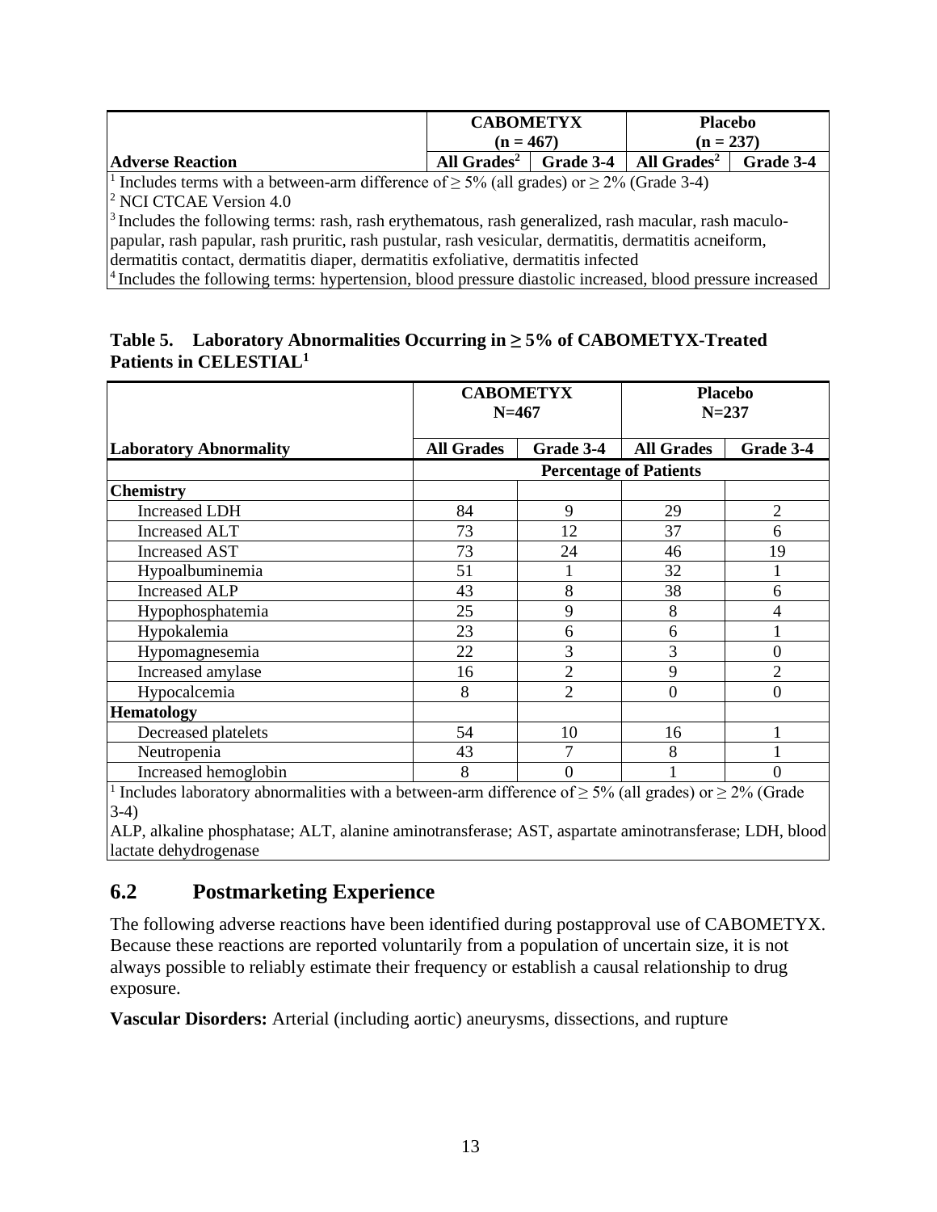|                                                                                                                       | <b>CABOMETYX</b><br>$(n = 467)$   |  | <b>Placebo</b><br>$(n = 237)$ |           |
|-----------------------------------------------------------------------------------------------------------------------|-----------------------------------|--|-------------------------------|-----------|
| <b>Adverse Reaction</b>                                                                                               | All $Grades2$<br><b>Grade 3-4</b> |  | All Grades <sup>2</sup>       | Grade 3-4 |
| <sup>1</sup> Includes terms with a between-arm difference of $\geq$ 5% (all grades) or $\geq$ 2% (Grade 3-4)          |                                   |  |                               |           |
| <sup>2</sup> NCI CTCAE Version 4.0                                                                                    |                                   |  |                               |           |
| $\frac{3}{1}$ Includes the following terms: rash, rash erythematous, rash generalized, rash macular, rash maculo-     |                                   |  |                               |           |
| papular, rash papular, rash pruritic, rash pustular, rash vesicular, dermatitis, dermatitis acneiform,                |                                   |  |                               |           |
| dermatitis contact, dermatitis diaper, dermatitis exfoliative, dermatitis infected                                    |                                   |  |                               |           |
| <sup>4</sup> Includes the following terms: hypertension, blood pressure diastolic increased, blood pressure increased |                                   |  |                               |           |

#### **Table 5. Laboratory Abnormalities Occurring in ≥ 5% of CABOMETYX-Treated Patients in CELESTIAL1**

|                                                                                                               | <b>CABOMETYX</b><br>$N=467$ |                | <b>Placebo</b><br>$N = 237$   |                |  |
|---------------------------------------------------------------------------------------------------------------|-----------------------------|----------------|-------------------------------|----------------|--|
| <b>Laboratory Abnormality</b>                                                                                 | <b>All Grades</b>           | Grade 3-4      | <b>All Grades</b>             | Grade 3-4      |  |
|                                                                                                               |                             |                | <b>Percentage of Patients</b> |                |  |
| <b>Chemistry</b>                                                                                              |                             |                |                               |                |  |
| <b>Increased LDH</b>                                                                                          | 84                          | 9              | 29                            | $\overline{2}$ |  |
| Increased ALT                                                                                                 | 73                          | 12             | 37                            | 6              |  |
| <b>Increased AST</b>                                                                                          | 73                          | 24             | 46                            | 19             |  |
| Hypoalbuminemia                                                                                               | 51                          |                | 32                            |                |  |
| <b>Increased ALP</b>                                                                                          | 43                          | 8              | 38                            | 6              |  |
| Hypophosphatemia                                                                                              | 25                          | 9              | 8                             | 4              |  |
| Hypokalemia                                                                                                   | 23                          | 6              | 6                             |                |  |
| Hypomagnesemia                                                                                                | 22                          | 3              | 3                             | 0              |  |
| Increased amylase                                                                                             | 16                          | $\overline{2}$ | 9                             | $\overline{c}$ |  |
| Hypocalcemia                                                                                                  | 8                           | $\overline{2}$ | $\overline{0}$                | 0              |  |
| <b>Hematology</b>                                                                                             |                             |                |                               |                |  |
| Decreased platelets                                                                                           | 54                          | 10             | 16                            |                |  |
| Neutropenia                                                                                                   | 43                          |                | 8                             |                |  |
| Increased hemoglobin                                                                                          | 8                           | $\theta$       |                               | 0              |  |
| Includes laboratory abnormalities with a between-arm difference of $\geq$ 5% (all grades) or $\geq$ 2% (Grade |                             |                |                               |                |  |

3-4)

ALP, alkaline phosphatase; ALT, alanine aminotransferase; AST, aspartate aminotransferase; LDH, blood lactate dehydrogenase

## <span id="page-12-0"></span>**6.2 Postmarketing Experience**

The following adverse reactions have been identified during postapproval use of CABOMETYX. Because these reactions are reported voluntarily from a population of uncertain size, it is not always possible to reliably estimate their frequency or establish a causal relationship to drug exposure.

**Vascular Disorders:** Arterial (including aortic) aneurysms, dissections, and rupture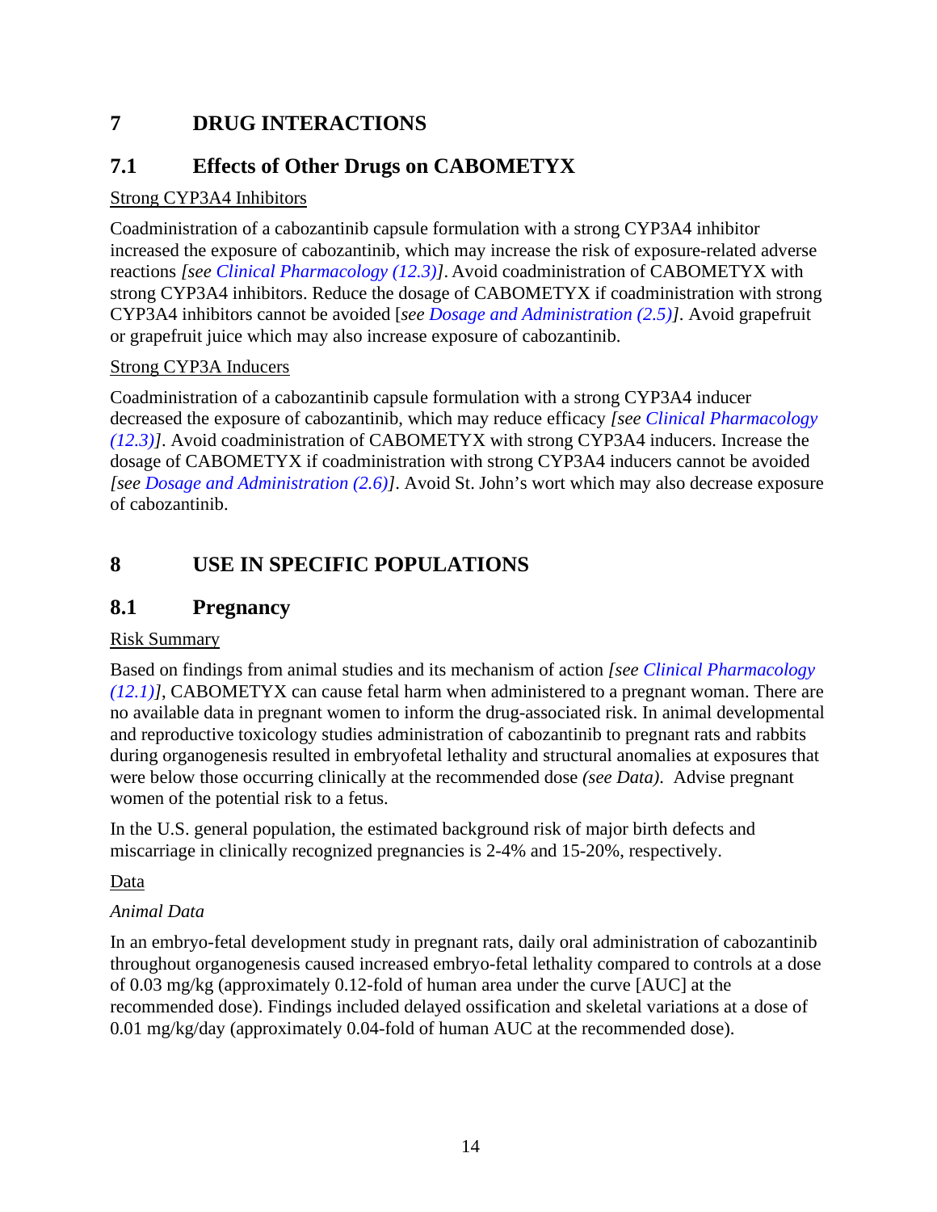# <span id="page-13-0"></span>**7 DRUG INTERACTIONS**

# <span id="page-13-1"></span>**7.1 Effects of Other Drugs on CABOMETYX**

### Strong CYP3A4 Inhibitors

Coadministration of a cabozantinib capsule formulation with a strong CYP3A4 inhibitor increased the exposure of cabozantinib, which may increase the risk of exposure-related adverse reactions *[see [Clinical Pharmacology \(12.3\)\]](#page-17-0)*. Avoid coadministration of CABOMETYX with strong CYP3A4 inhibitors. Reduce the dosage of CABOMETYX if coadministration with strong CYP3A4 inhibitors cannot be avoided [*see [Dosage and Administration \(2.5\)\]](#page-2-0)*. Avoid grapefruit or grapefruit juice which may also increase exposure of cabozantinib.

### Strong CYP3A Inducers

Coadministration of a cabozantinib capsule formulation with a strong CYP3A4 inducer decreased the exposure of cabozantinib, which may reduce efficacy *[see [Clinical Pharmacology](#page-17-0)  [\(12.3\)\]](#page-17-0)*. Avoid coadministration of CABOMETYX with strong CYP3A4 inducers. Increase the dosage of CABOMETYX if coadministration with strong CYP3A4 inducers cannot be avoided *[see [Dosage and Administration \(2.6\)\]](#page-2-1)*. Avoid St. John's wort which may also decrease exposure of cabozantinib.

# <span id="page-13-2"></span>**8 USE IN SPECIFIC POPULATIONS**

### <span id="page-13-3"></span>**8.1 Pregnancy**

### Risk Summary

Based on findings from animal studies and its mechanism of action *[see [Clinical Pharmacology](#page-16-1)  [\(12.1\)\]](#page-16-1)*, CABOMETYX can cause fetal harm when administered to a pregnant woman. There are no available data in pregnant women to inform the drug-associated risk. In animal developmental and reproductive toxicology studies administration of cabozantinib to pregnant rats and rabbits during organogenesis resulted in embryofetal lethality and structural anomalies at exposures that were below those occurring clinically at the recommended dose *(see Data)*. Advise pregnant women of the potential risk to a fetus.

In the U.S. general population, the estimated background risk of major birth defects and miscarriage in clinically recognized pregnancies is 2-4% and 15-20%, respectively.

### Data

### *Animal Data*

In an embryo-fetal development study in pregnant rats, daily oral administration of cabozantinib throughout organogenesis caused increased embryo-fetal lethality compared to controls at a dose of 0.03 mg/kg (approximately 0.12-fold of human area under the curve [AUC] at the recommended dose). Findings included delayed ossification and skeletal variations at a dose of 0.01 mg/kg/day (approximately 0.04-fold of human AUC at the recommended dose).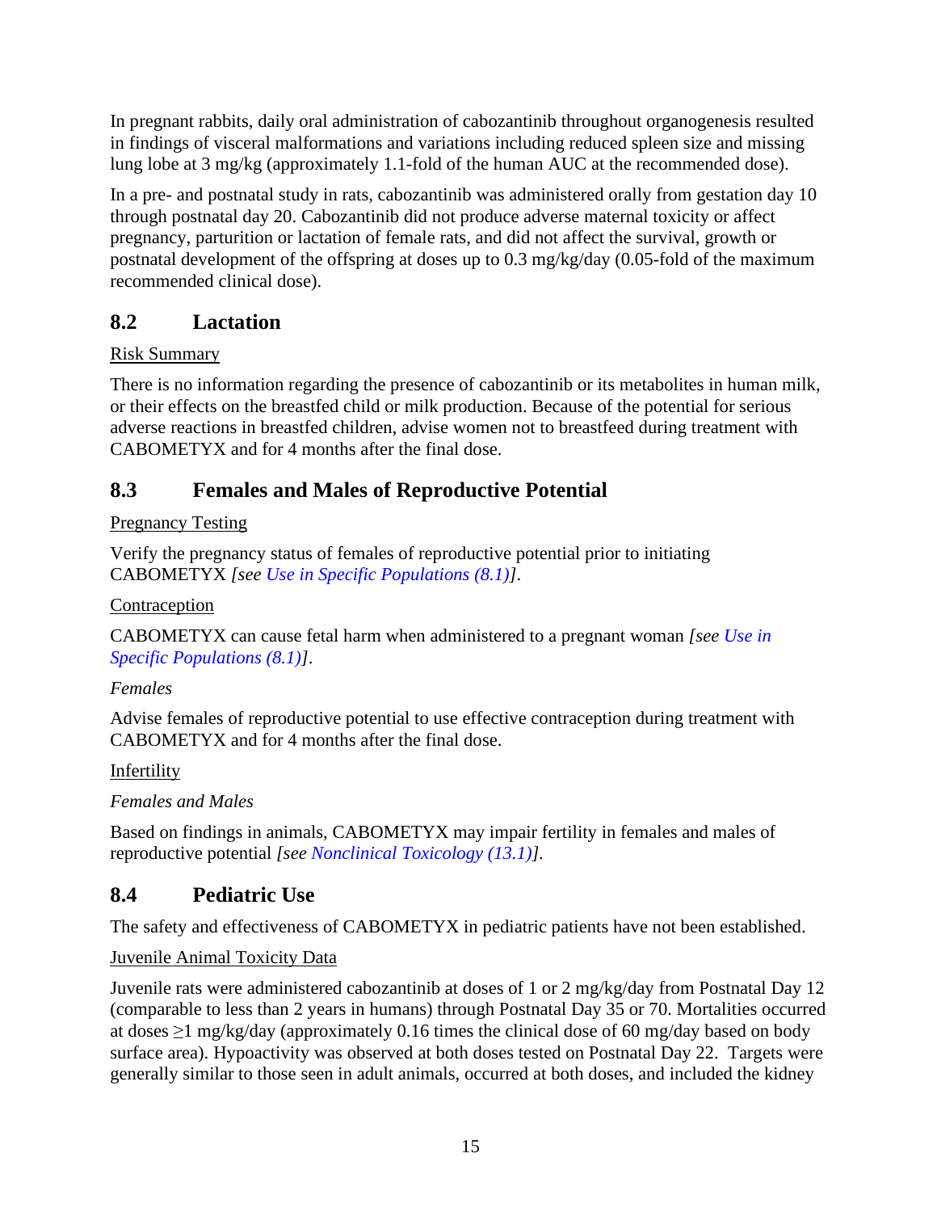In pregnant rabbits, daily oral administration of cabozantinib throughout organogenesis resulted in findings of visceral malformations and variations including reduced spleen size and missing lung lobe at 3 mg/kg (approximately 1.1-fold of the human AUC at the recommended dose).

In a pre- and postnatal study in rats, cabozantinib was administered orally from gestation day 10 through postnatal day 20. Cabozantinib did not produce adverse maternal toxicity or affect pregnancy, parturition or lactation of female rats, and did not affect the survival, growth or postnatal development of the offspring at doses up to 0.3 mg/kg/day (0.05-fold of the maximum recommended clinical dose).

# <span id="page-14-0"></span>**8.2 Lactation**

### Risk Summary

There is no information regarding the presence of cabozantinib or its metabolites in human milk, or their effects on the breastfed child or milk production. Because of the potential for serious adverse reactions in breastfed children, advise women not to breastfeed during treatment with CABOMETYX and for 4 months after the final dose.

# <span id="page-14-1"></span>**8.3 Females and Males of Reproductive Potential**

### Pregnancy Testing

Verify the pregnancy status of females of reproductive potential prior to initiating CABOMETYX *[see [Use in Specific Populations \(8.1\)\]](#page-13-3)*.

### **Contraception**

CABOMETYX can cause fetal harm when administered to a pregnant woman *[see [Use in](#page-13-3)  [Specific Populations \(8.1\)\]](#page-13-3)*.

### *Females*

Advise females of reproductive potential to use effective contraception during treatment with CABOMETYX and for 4 months after the final dose.

## **Infertility**

## *Females and Males*

Based on findings in animals, CABOMETYX may impair fertility in females and males of reproductive potential *[see [Nonclinical Toxicology \(13.1\)\]](#page-19-1).*

# <span id="page-14-2"></span>**8.4 Pediatric Use**

The safety and effectiveness of CABOMETYX in pediatric patients have not been established.

### Juvenile Animal Toxicity Data

Juvenile rats were administered cabozantinib at doses of 1 or 2 mg/kg/day from Postnatal Day 12 (comparable to less than 2 years in humans) through Postnatal Day 35 or 70. Mortalities occurred at doses  $\geq$ 1 mg/kg/day (approximately 0.16 times the clinical dose of 60 mg/day based on body surface area). Hypoactivity was observed at both doses tested on Postnatal Day 22. Targets were generally similar to those seen in adult animals, occurred at both doses, and included the kidney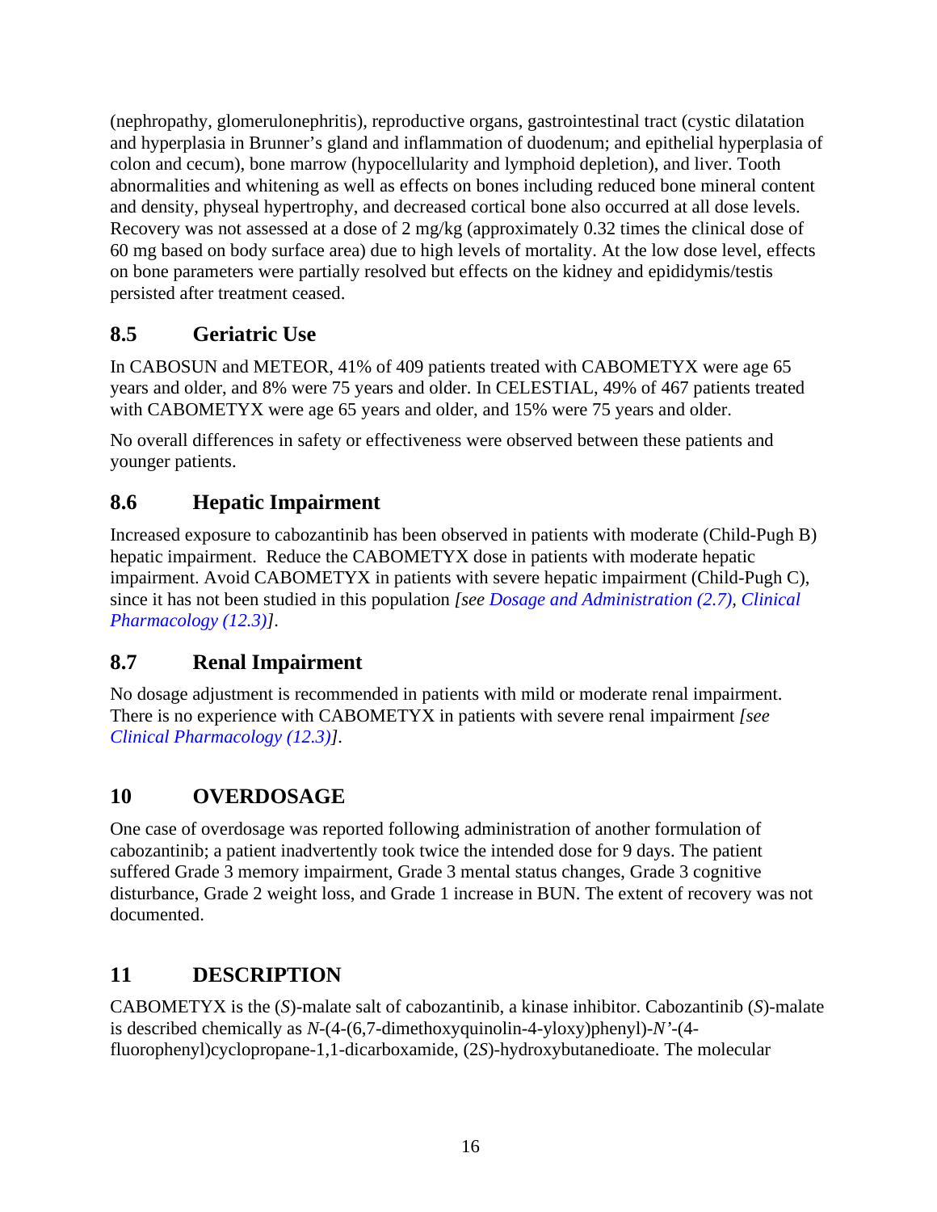(nephropathy, glomerulonephritis), reproductive organs, gastrointestinal tract (cystic dilatation and hyperplasia in Brunner's gland and inflammation of duodenum; and epithelial hyperplasia of colon and cecum), bone marrow (hypocellularity and lymphoid depletion), and liver. Tooth abnormalities and whitening as well as effects on bones including reduced bone mineral content and density, physeal hypertrophy, and decreased cortical bone also occurred at all dose levels. Recovery was not assessed at a dose of 2 mg/kg (approximately 0.32 times the clinical dose of 60 mg based on body surface area) due to high levels of mortality. At the low dose level, effects on bone parameters were partially resolved but effects on the kidney and epididymis/testis persisted after treatment ceased.

# <span id="page-15-0"></span>**8.5 Geriatric Use**

In CABOSUN and METEOR, 41% of 409 patients treated with CABOMETYX were age 65 years and older, and 8% were 75 years and older. In CELESTIAL, 49% of 467 patients treated with CABOMETYX were age 65 years and older, and 15% were 75 years and older.

No overall differences in safety or effectiveness were observed between these patients and younger patients.

# <span id="page-15-1"></span>**8.6 Hepatic Impairment**

Increased exposure to cabozantinib has been observed in patients with moderate (Child-Pugh B) hepatic impairment. Reduce the CABOMETYX dose in patients with moderate hepatic impairment. Avoid CABOMETYX in patients with severe hepatic impairment (Child-Pugh C), since it has not been studied in this population *[see [Dosage and Administration \(2.7\),](#page-2-2) [Clinical](#page-17-0)  [Pharmacology](#page-17-0) (12.3)]*.

## <span id="page-15-2"></span>**8.7 Renal Impairment**

No dosage adjustment is recommended in patients with mild or moderate renal impairment. There is no experience with CABOMETYX in patients with severe renal impairment *[see [Clinical Pharmacology \(12.3\)\]](#page-17-0)*.

# <span id="page-15-3"></span>**10 OVERDOSAGE**

One case of overdosage was reported following administration of another formulation of cabozantinib; a patient inadvertently took twice the intended dose for 9 days. The patient suffered Grade 3 memory impairment, Grade 3 mental status changes, Grade 3 cognitive disturbance, Grade 2 weight loss, and Grade 1 increase in BUN. The extent of recovery was not documented.

# <span id="page-15-4"></span>**11 DESCRIPTION**

CABOMETYX is the (*S*)-malate salt of cabozantinib, a kinase inhibitor. Cabozantinib (*S*)-malate is described chemically as *N*-(4-(6,7-dimethoxyquinolin-4-yloxy)phenyl)-*N'*-(4 fluorophenyl)cyclopropane-1,1-dicarboxamide, (2*S*)-hydroxybutanedioate. The molecular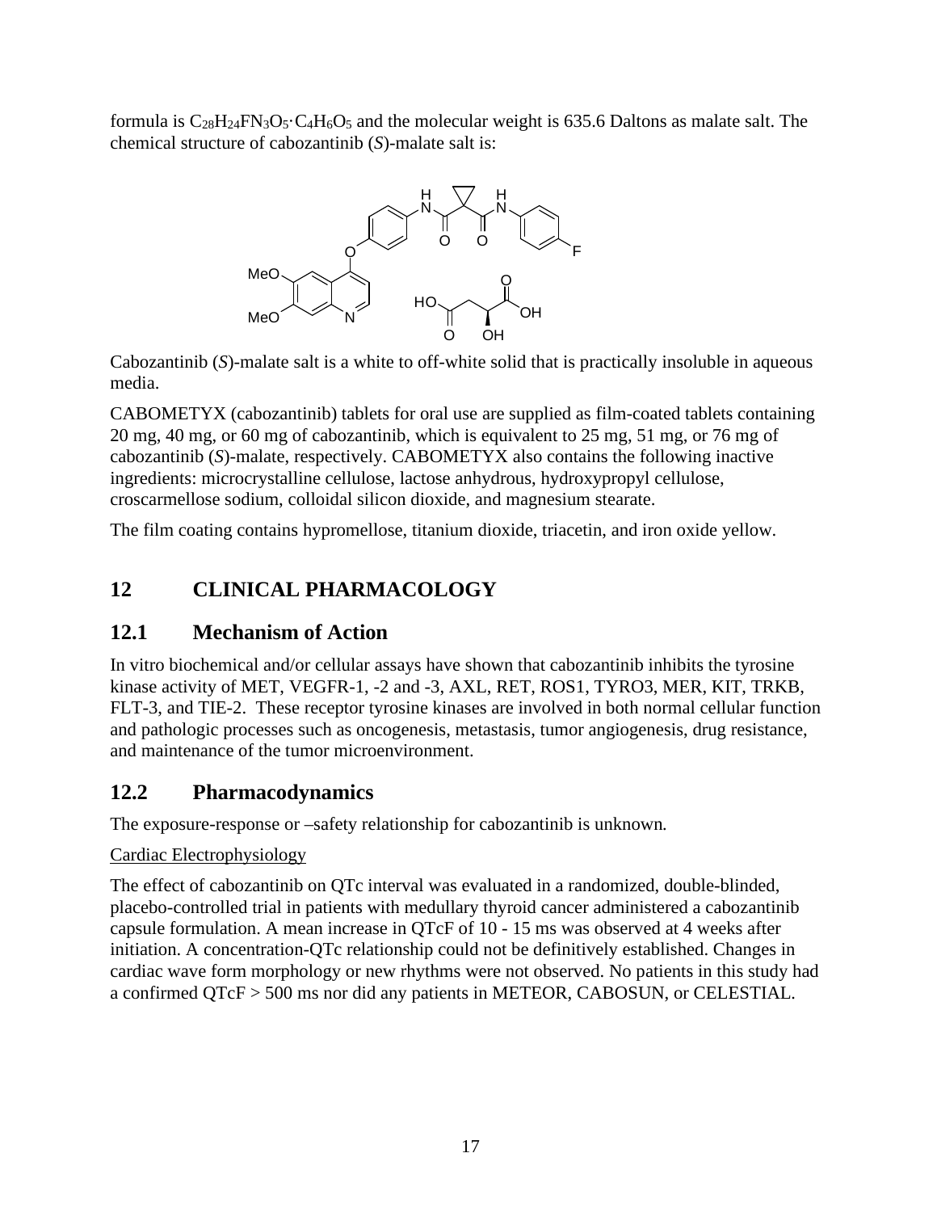formula is  $C_{28}H_{24}FN_3O_5 \cdot C_4H_6O_5$  and the molecular weight is 635.6 Daltons as malate salt. The chemical structure of cabozantinib (*S*)-malate salt is:



Cabozantinib (*S*)-malate salt is a white to off-white solid that is practically insoluble in aqueous media.

CABOMETYX (cabozantinib) tablets for oral use are supplied as film-coated tablets containing 20 mg, 40 mg, or 60 mg of cabozantinib, which is equivalent to 25 mg, 51 mg, or 76 mg of cabozantinib (*S*)-malate, respectively. CABOMETYX also contains the following inactive ingredients: microcrystalline cellulose, lactose anhydrous, hydroxypropyl cellulose, croscarmellose sodium, colloidal silicon dioxide, and magnesium stearate.

The film coating contains hypromellose, titanium dioxide, triacetin, and iron oxide yellow.

# <span id="page-16-0"></span>**12 CLINICAL PHARMACOLOGY**

### <span id="page-16-1"></span>**12.1 Mechanism of Action**

In vitro biochemical and/or cellular assays have shown that cabozantinib inhibits the tyrosine kinase activity of MET, VEGFR-1, -2 and -3, AXL, RET, ROS1, TYRO3, MER, KIT, TRKB, FLT-3, and TIE-2. These receptor tyrosine kinases are involved in both normal cellular function and pathologic processes such as oncogenesis, metastasis, tumor angiogenesis, drug resistance, and maintenance of the tumor microenvironment.

## <span id="page-16-2"></span>**12.2 Pharmacodynamics**

The exposure-response or –safety relationship for cabozantinib is unknown*.* 

### Cardiac Electrophysiology

The effect of cabozantinib on QTc interval was evaluated in a randomized, double-blinded, placebo-controlled trial in patients with medullary thyroid cancer administered a cabozantinib capsule formulation. A mean increase in QTcF of 10 - 15 ms was observed at 4 weeks after initiation. A concentration-QTc relationship could not be definitively established. Changes in cardiac wave form morphology or new rhythms were not observed. No patients in this study had a confirmed QTcF > 500 ms nor did any patients in METEOR, CABOSUN, or CELESTIAL*.*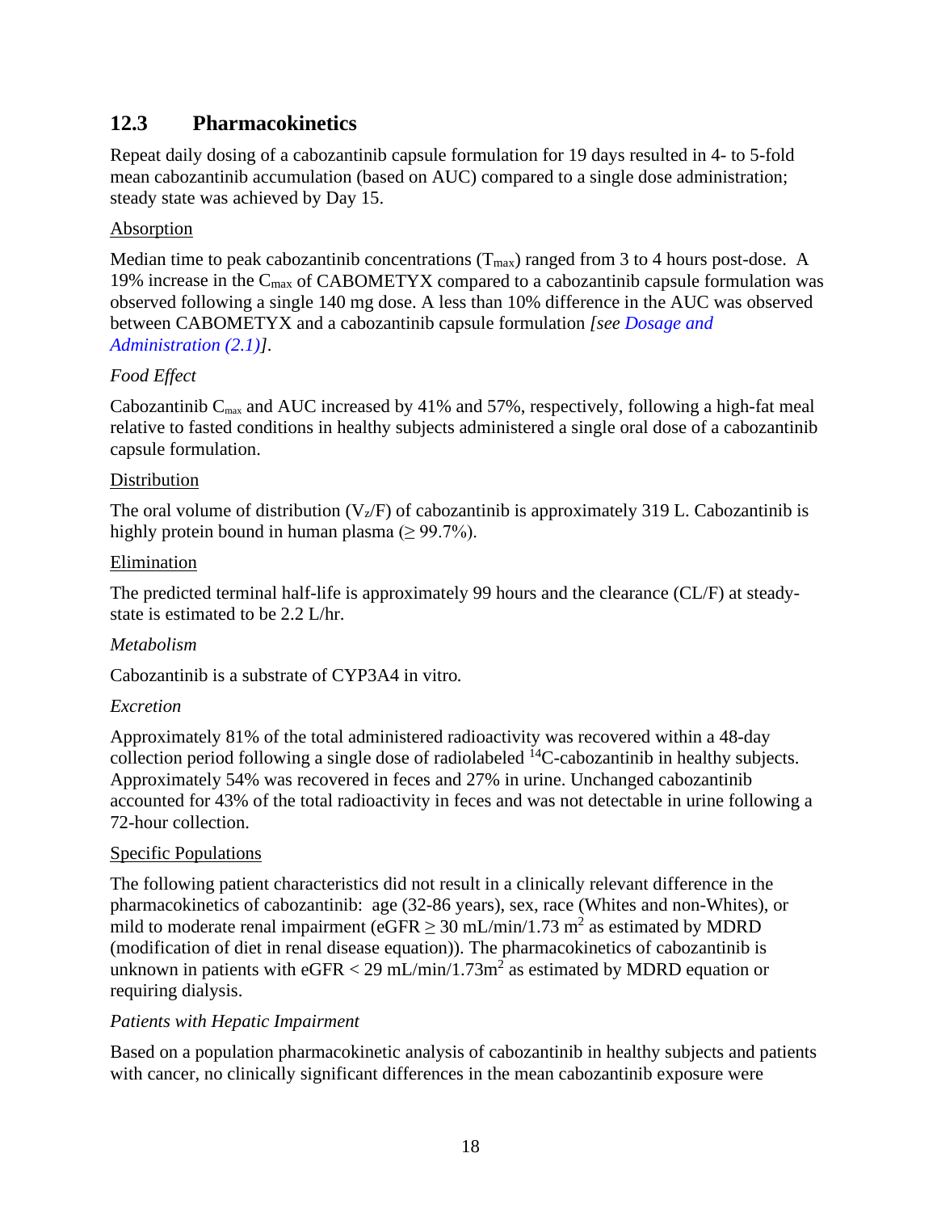### <span id="page-17-0"></span>**12.3 Pharmacokinetics**

Repeat daily dosing of a cabozantinib capsule formulation for 19 days resulted in 4- to 5-fold mean cabozantinib accumulation (based on AUC) compared to a single dose administration; steady state was achieved by Day 15.

### **Absorption**

Median time to peak cabozantinib concentrations  $(T_{max})$  ranged from 3 to 4 hours post-dose. A 19% increase in the Cmax of CABOMETYX compared to a cabozantinib capsule formulation was observed following a single 140 mg dose. A less than 10% difference in the AUC was observed between CABOMETYX and a cabozantinib capsule formulation *[see [Dosage and](#page-1-4)  [Administration \(2.1\)\]](#page-1-4)*.

### *Food Effect*

Cabozantinib  $C_{\text{max}}$  and AUC increased by 41% and 57%, respectively, following a high-fat meal relative to fasted conditions in healthy subjects administered a single oral dose of a cabozantinib capsule formulation.

#### Distribution

The oral volume of distribution  $(V_z/F)$  of cabozantinib is approximately 319 L. Cabozantinib is highly protein bound in human plasma ( $\geq$  99.7%).

#### Elimination

The predicted terminal half-life is approximately 99 hours and the clearance (CL/F) at steadystate is estimated to be 2.2 L/hr.

#### *Metabolism*

Cabozantinib is a substrate of CYP3A4 in vitro*.* 

#### *Excretion*

Approximately 81% of the total administered radioactivity was recovered within a 48-day collection period following a single dose of radiolabeled  ${}^{14}C$ -cabozantinib in healthy subjects. Approximately 54% was recovered in feces and 27% in urine. Unchanged cabozantinib accounted for 43% of the total radioactivity in feces and was not detectable in urine following a 72-hour collection.

#### Specific Populations

The following patient characteristics did not result in a clinically relevant difference in the pharmacokinetics of cabozantinib: age (32-86 years), sex, race (Whites and non-Whites), or mild to moderate renal impairment (eGFR  $\geq$  30 mL/min/1.73 m<sup>2</sup> as estimated by MDRD (modification of diet in renal disease equation)). The pharmacokinetics of cabozantinib is unknown in patients with  $eGFR < 29$  mL/min/1.73m<sup>2</sup> as estimated by MDRD equation or requiring dialysis.

#### *Patients with Hepatic Impairment*

Based on a population pharmacokinetic analysis of cabozantinib in healthy subjects and patients with cancer, no clinically significant differences in the mean cabozantinib exposure were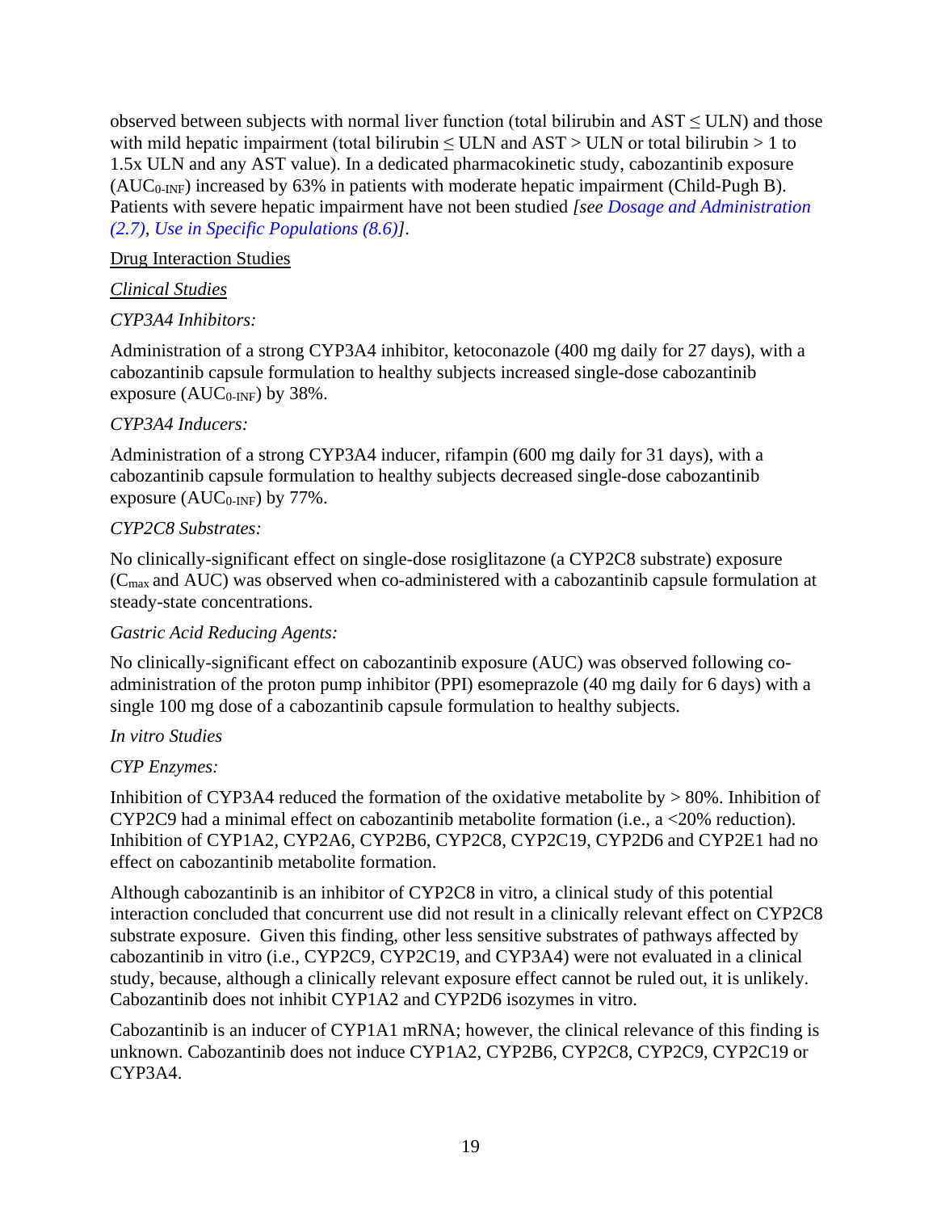observed between subjects with normal liver function (total bilirubin and  $AST \leq ULN$ ) and those with mild hepatic impairment (total bilirubin  $\leq$  ULN and AST  $>$  ULN or total bilirubin  $>$  1 to 1.5x ULN and any AST value). In a dedicated pharmacokinetic study, cabozantinib exposure  $(AUC<sub>0-INF</sub>)$  increased by 63% in patients with moderate hepatic impairment (Child-Pugh B). Patients with severe hepatic impairment have not been studied *[see [Dosage and Administration](#page-2-2)  [\(2.7\),](#page-2-2) [Use in Specific Populations \(8.6\)\]](#page-15-1)*.

#### Drug Interaction Studies

### *Clinical Studies*

### *CYP3A4 Inhibitors:*

Administration of a strong CYP3A4 inhibitor, ketoconazole (400 mg daily for 27 days), with a cabozantinib capsule formulation to healthy subjects increased single-dose cabozantinib exposure  $(AUC_{0\text{-INF}})$  by 38%.

### *CYP3A4 Inducers:*

Administration of a strong CYP3A4 inducer, rifampin (600 mg daily for 31 days), with a cabozantinib capsule formulation to healthy subjects decreased single-dose cabozantinib exposure  $(AUC_{0\text{-INF}})$  by 77%.

#### *CYP2C8 Substrates:*

No clinically-significant effect on single-dose rosiglitazone (a CYP2C8 substrate) exposure (Cmax and AUC) was observed when co-administered with a cabozantinib capsule formulation at steady-state concentrations.

#### *Gastric Acid Reducing Agents:*

No clinically-significant effect on cabozantinib exposure (AUC) was observed following coadministration of the proton pump inhibitor (PPI) esomeprazole (40 mg daily for 6 days) with a single 100 mg dose of a cabozantinib capsule formulation to healthy subjects.

#### *In vitro Studies*

### *CYP Enzymes:*

Inhibition of CYP3A4 reduced the formation of the oxidative metabolite by > 80%. Inhibition of CYP2C9 had a minimal effect on cabozantinib metabolite formation (i.e., a <20% reduction). Inhibition of CYP1A2, CYP2A6, CYP2B6, CYP2C8, CYP2C19, CYP2D6 and CYP2E1 had no effect on cabozantinib metabolite formation.

Although cabozantinib is an inhibitor of CYP2C8 in vitro, a clinical study of this potential interaction concluded that concurrent use did not result in a clinically relevant effect on CYP2C8 substrate exposure. Given this finding, other less sensitive substrates of pathways affected by cabozantinib in vitro (i.e., CYP2C9, CYP2C19, and CYP3A4) were not evaluated in a clinical study, because, although a clinically relevant exposure effect cannot be ruled out, it is unlikely. Cabozantinib does not inhibit CYP1A2 and CYP2D6 isozymes in vitro.

Cabozantinib is an inducer of CYP1A1 mRNA; however, the clinical relevance of this finding is unknown. Cabozantinib does not induce CYP1A2, CYP2B6, CYP2C8, CYP2C9, CYP2C19 or CYP3A4.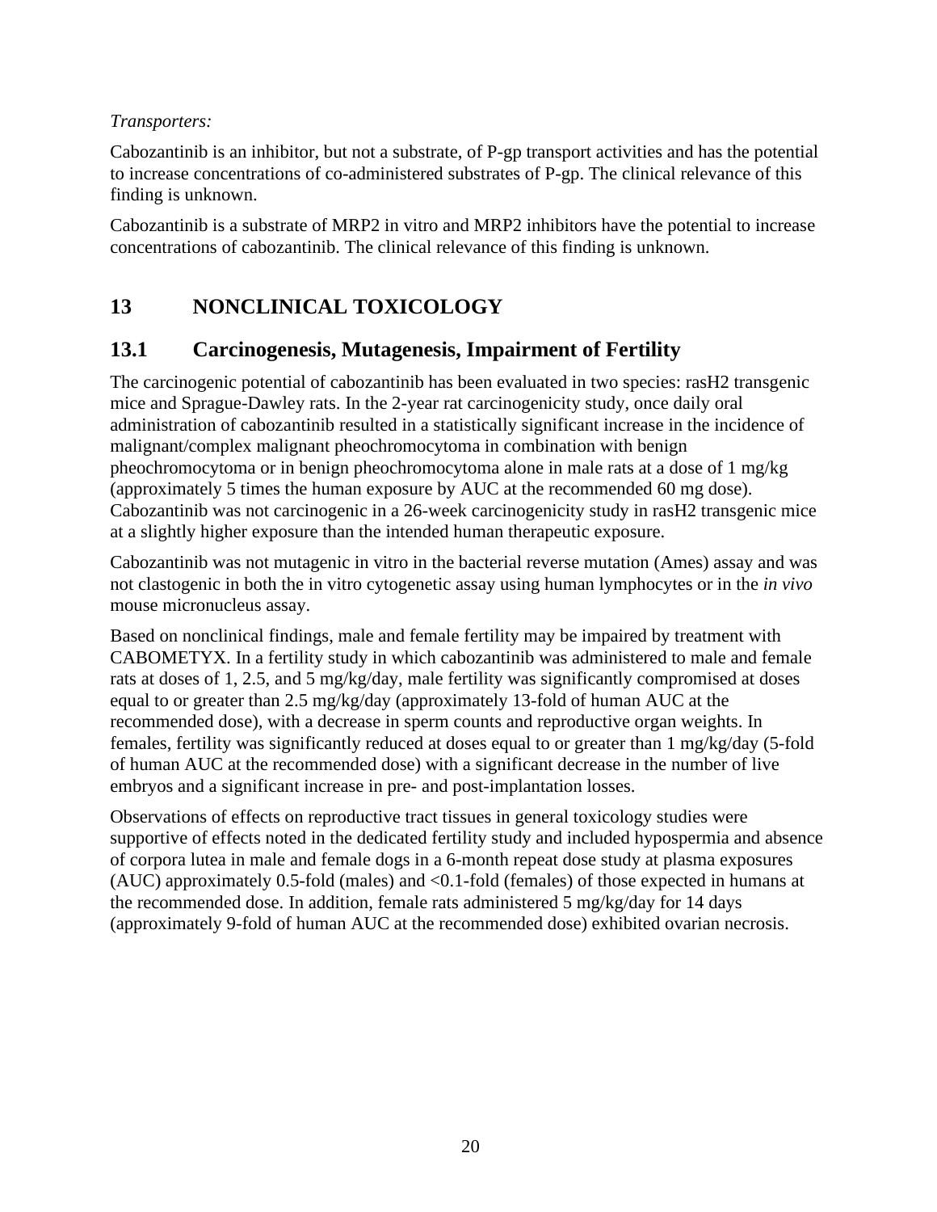#### *Transporters:*

Cabozantinib is an inhibitor, but not a substrate, of P-gp transport activities and has the potential to increase concentrations of co-administered substrates of P-gp. The clinical relevance of this finding is unknown.

Cabozantinib is a substrate of MRP2 in vitro and MRP2 inhibitors have the potential to increase concentrations of cabozantinib. The clinical relevance of this finding is unknown.

# <span id="page-19-0"></span>**13 NONCLINICAL TOXICOLOGY**

### <span id="page-19-1"></span>**13.1 Carcinogenesis, Mutagenesis, Impairment of Fertility**

The carcinogenic potential of cabozantinib has been evaluated in two species: rasH2 transgenic mice and Sprague-Dawley rats. In the 2-year rat carcinogenicity study, once daily oral administration of cabozantinib resulted in a statistically significant increase in the incidence of malignant/complex malignant pheochromocytoma in combination with benign pheochromocytoma or in benign pheochromocytoma alone in male rats at a dose of 1 mg/kg (approximately 5 times the human exposure by AUC at the recommended 60 mg dose). Cabozantinib was not carcinogenic in a 26-week carcinogenicity study in rasH2 transgenic mice at a slightly higher exposure than the intended human therapeutic exposure.

Cabozantinib was not mutagenic in vitro in the bacterial reverse mutation (Ames) assay and was not clastogenic in both the in vitro cytogenetic assay using human lymphocytes or in the *in vivo* mouse micronucleus assay.

Based on nonclinical findings, male and female fertility may be impaired by treatment with CABOMETYX. In a fertility study in which cabozantinib was administered to male and female rats at doses of 1, 2.5, and 5 mg/kg/day, male fertility was significantly compromised at doses equal to or greater than 2.5 mg/kg/day (approximately 13-fold of human AUC at the recommended dose), with a decrease in sperm counts and reproductive organ weights. In females, fertility was significantly reduced at doses equal to or greater than 1 mg/kg/day (5-fold of human AUC at the recommended dose) with a significant decrease in the number of live embryos and a significant increase in pre- and post-implantation losses.

Observations of effects on reproductive tract tissues in general toxicology studies were supportive of effects noted in the dedicated fertility study and included hypospermia and absence of corpora lutea in male and female dogs in a 6-month repeat dose study at plasma exposures (AUC) approximately 0.5-fold (males) and <0.1-fold (females) of those expected in humans at the recommended dose. In addition, female rats administered 5 mg/kg/day for 14 days (approximately 9-fold of human AUC at the recommended dose) exhibited ovarian necrosis.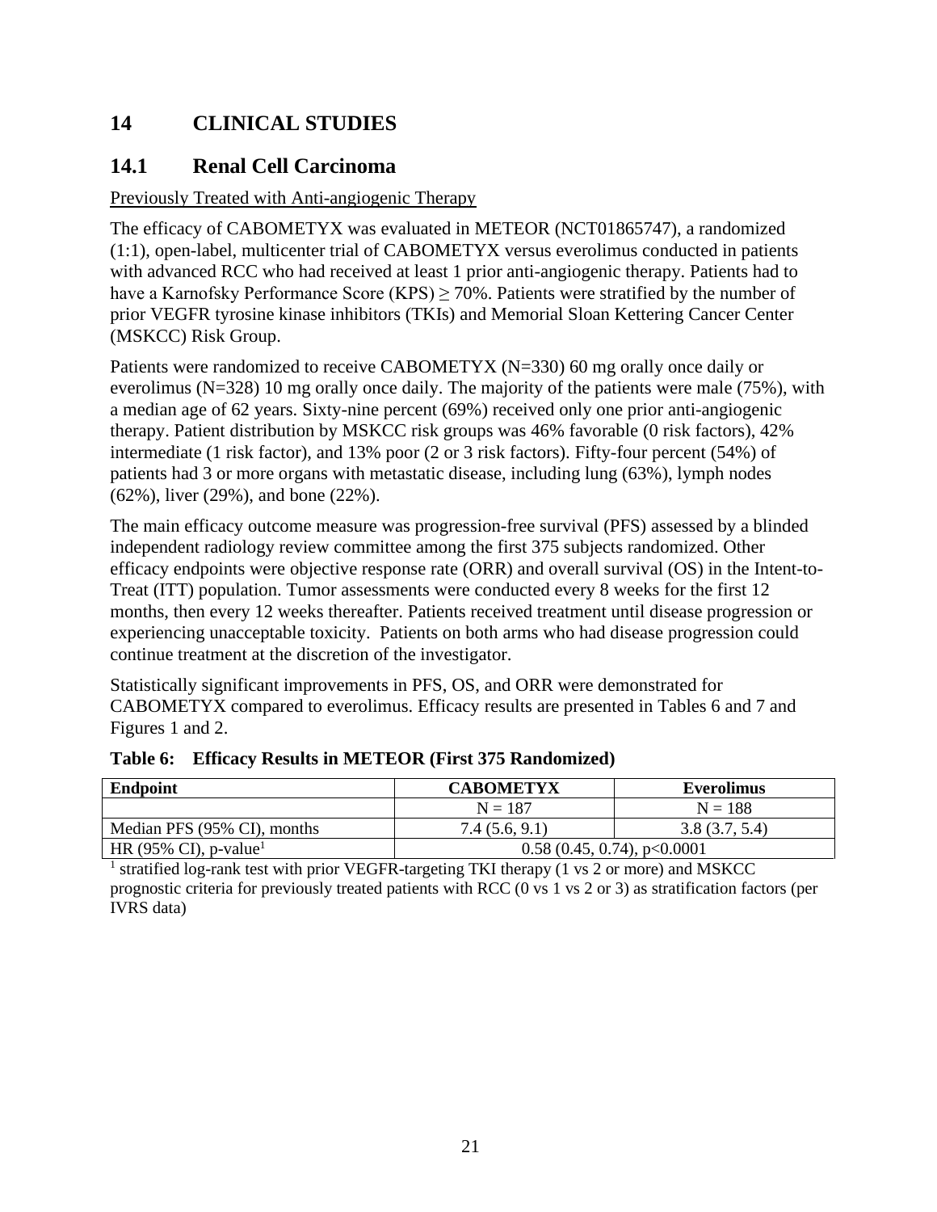# <span id="page-20-0"></span>**14 CLINICAL STUDIES**

### <span id="page-20-1"></span>**14.1 Renal Cell Carcinoma**

### Previously Treated with Anti-angiogenic Therapy

The efficacy of CABOMETYX was evaluated in METEOR (NCT01865747), a randomized (1:1), open-label, multicenter trial of CABOMETYX versus everolimus conducted in patients with advanced RCC who had received at least 1 prior anti-angiogenic therapy. Patients had to have a Karnofsky Performance Score (KPS)  $\geq$  70%. Patients were stratified by the number of prior VEGFR tyrosine kinase inhibitors (TKIs) and Memorial Sloan Kettering Cancer Center (MSKCC) Risk Group.

Patients were randomized to receive CABOMETYX (N=330) 60 mg orally once daily or everolimus (N=328) 10 mg orally once daily. The majority of the patients were male (75%), with a median age of 62 years. Sixty-nine percent (69%) received only one prior anti-angiogenic therapy. Patient distribution by MSKCC risk groups was 46% favorable (0 risk factors), 42% intermediate (1 risk factor), and 13% poor (2 or 3 risk factors). Fifty-four percent (54%) of patients had 3 or more organs with metastatic disease, including lung (63%), lymph nodes (62%), liver (29%), and bone (22%).

The main efficacy outcome measure was progression-free survival (PFS) assessed by a blinded independent radiology review committee among the first 375 subjects randomized. Other efficacy endpoints were objective response rate (ORR) and overall survival (OS) in the Intent-to-Treat (ITT) population. Tumor assessments were conducted every 8 weeks for the first 12 months, then every 12 weeks thereafter. Patients received treatment until disease progression or experiencing unacceptable toxicity. Patients on both arms who had disease progression could continue treatment at the discretion of the investigator.

Statistically significant improvements in PFS, OS, and ORR were demonstrated for CABOMETYX compared to everolimus. Efficacy results are presented in Tables 6 and 7 and Figures 1 and 2.

| <b>Endpoint</b>                   | <b>CABOMETYX</b>              | Everolimus    |
|-----------------------------------|-------------------------------|---------------|
|                                   | $N = 187$                     | $N = 188$     |
| Median PFS (95% CI), months       | 7.4(5.6, 9.1)                 | 3.8(3.7, 5.4) |
| HR (95% CI), p-value <sup>1</sup> | $0.58(0.45, 0.74)$ , p<0.0001 |               |

#### **Table 6: Efficacy Results in METEOR (First 375 Randomized)**

<sup>1</sup> stratified log-rank test with prior VEGFR-targeting TKI therapy (1 vs 2 or more) and MSKCC prognostic criteria for previously treated patients with RCC (0 vs 1 vs 2 or 3) as stratification factors (per IVRS data)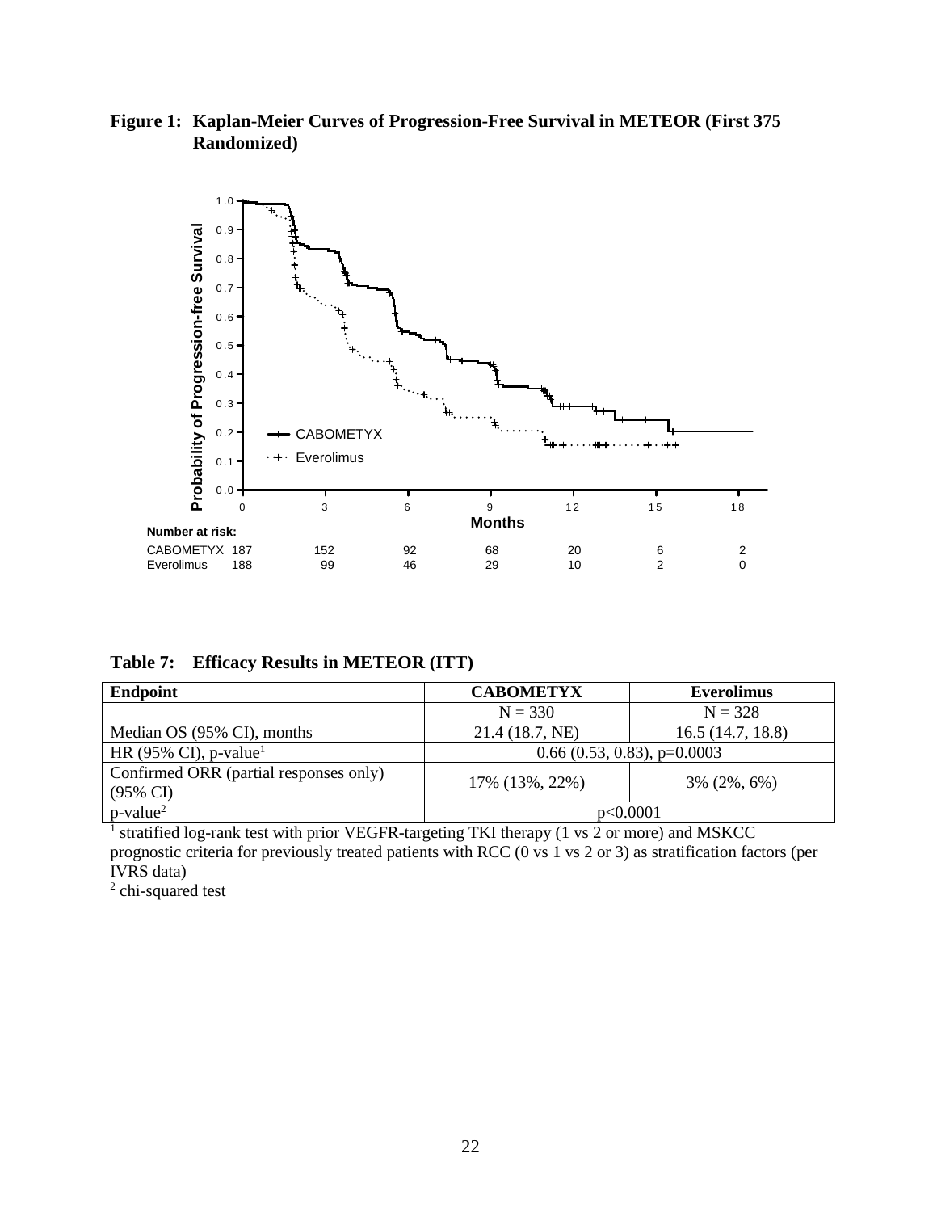**Figure 1: Kaplan-Meier Curves of Progression-Free Survival in METEOR (First 375 Randomized)**



**Table 7: Efficacy Results in METEOR (ITT)**

| Endpoint                                                      | <b>CABOMETYX</b>              | <b>Everolimus</b> |
|---------------------------------------------------------------|-------------------------------|-------------------|
|                                                               | $N = 330$                     | $N = 328$         |
| Median OS (95% CI), months                                    | 21.4 (18.7, NE)               | 16.5(14.7, 18.8)  |
| HR (95% CI), p-value <sup>1</sup>                             | $0.66$ (0.53, 0.83), p=0.0003 |                   |
| Confirmed ORR (partial responses only)<br>$(95\% \text{ CI})$ | 17% (13%, 22%)                | $3\% (2\%, 6\%)$  |
| $p$ -value <sup>2</sup>                                       | p<0.0001                      |                   |

<sup>1</sup> stratified log-rank test with prior VEGFR-targeting TKI therapy (1 vs 2 or more) and MSKCC prognostic criteria for previously treated patients with RCC (0 vs 1 vs 2 or 3) as stratification factors (per IVRS data)

<sup>2</sup> chi-squared test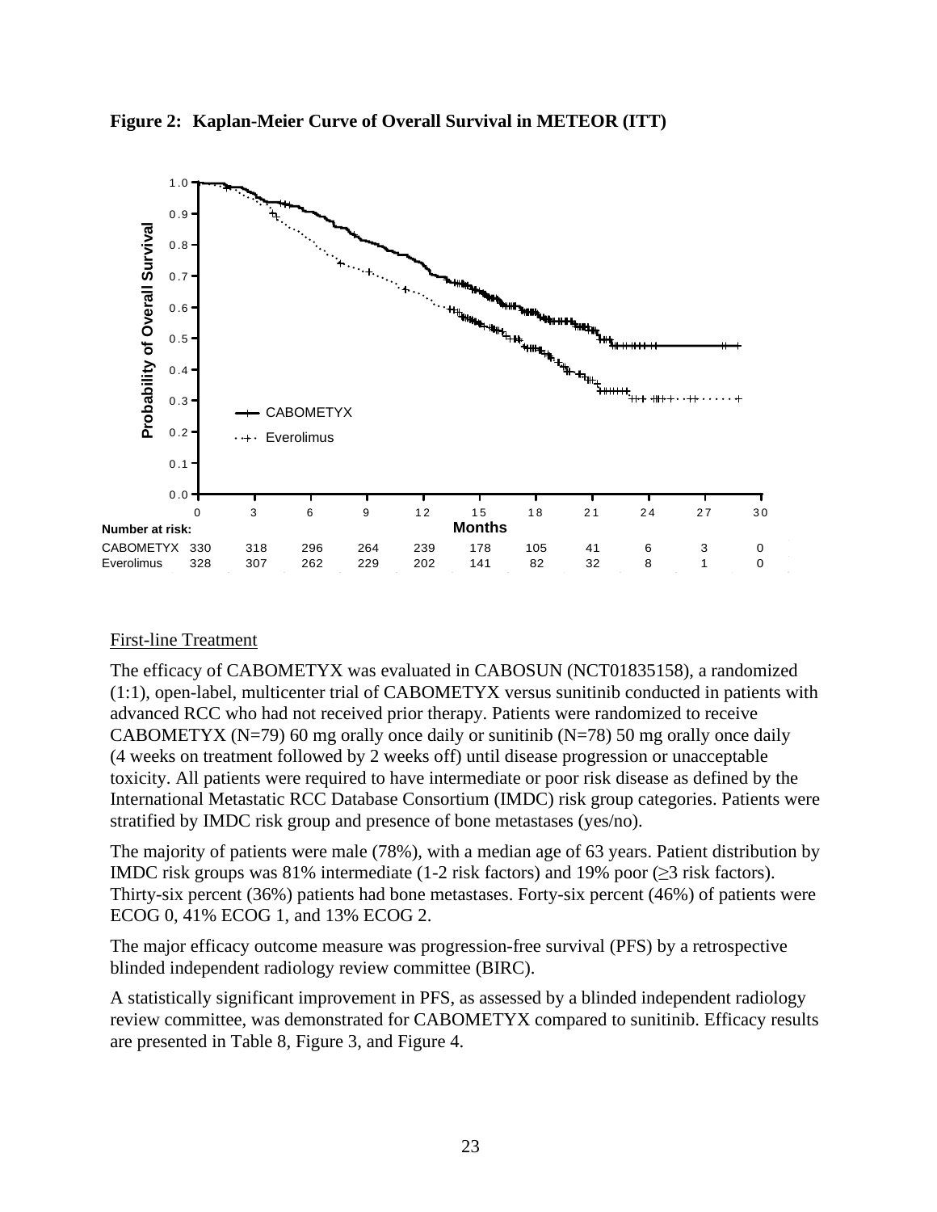

**Figure 2: Kaplan-Meier Curve of Overall Survival in METEOR (ITT)**

#### First-line Treatment

The efficacy of CABOMETYX was evaluated in CABOSUN (NCT01835158), a randomized (1:1), open-label, multicenter trial of CABOMETYX versus sunitinib conducted in patients with advanced RCC who had not received prior therapy. Patients were randomized to receive CABOMETYX ( $N=79$ ) 60 mg orally once daily or sunitinib ( $N=78$ ) 50 mg orally once daily (4 weeks on treatment followed by 2 weeks off) until disease progression or unacceptable toxicity. All patients were required to have intermediate or poor risk disease as defined by the International Metastatic RCC Database Consortium (IMDC) risk group categories. Patients were stratified by IMDC risk group and presence of bone metastases (yes/no).

The majority of patients were male (78%), with a median age of 63 years. Patient distribution by IMDC risk groups was 81% intermediate (1-2 risk factors) and 19% poor ( $\geq$ 3 risk factors). Thirty-six percent (36%) patients had bone metastases. Forty-six percent (46%) of patients were ECOG 0, 41% ECOG 1, and 13% ECOG 2.

The major efficacy outcome measure was progression-free survival (PFS) by a retrospective blinded independent radiology review committee (BIRC).

A statistically significant improvement in PFS, as assessed by a blinded independent radiology review committee, was demonstrated for CABOMETYX compared to sunitinib. Efficacy results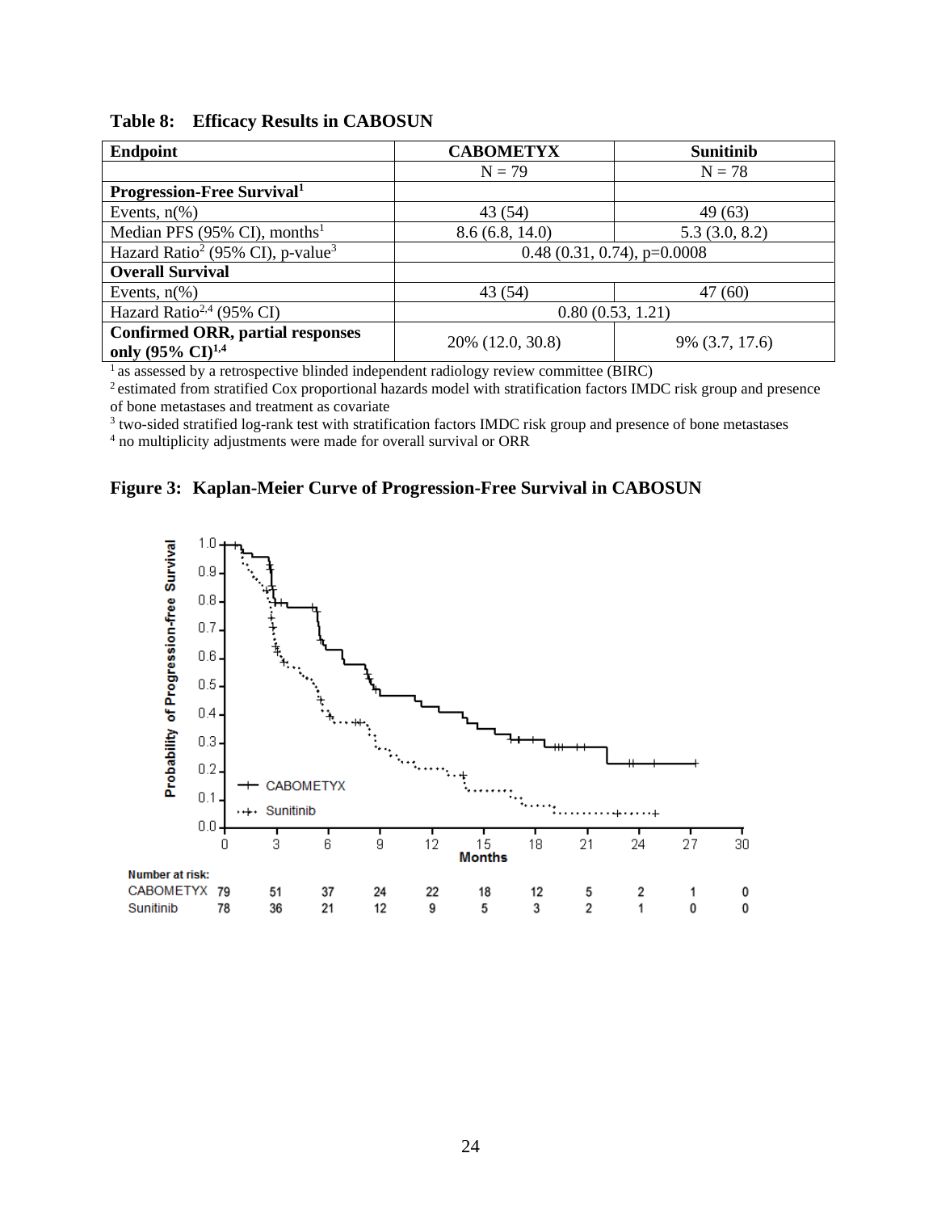| <b>Endpoint</b>                                                            | <b>CABOMETYX</b>              | <b>Sunitinib</b> |
|----------------------------------------------------------------------------|-------------------------------|------------------|
|                                                                            | $N = 79$                      | $N = 78$         |
| <b>Progression-Free Survival</b>                                           |                               |                  |
| Events, $n\frac{6}{6}$                                                     | 43(54)                        | 49(63)           |
| Median PFS (95% CI), months <sup>1</sup>                                   | 8.6(6.8, 14.0)                | 5.3(3.0, 8.2)    |
| Hazard Ratio <sup>2</sup> (95% CI), p-value <sup>3</sup>                   | $0.48(0.31, 0.74)$ , p=0.0008 |                  |
| <b>Overall Survival</b>                                                    |                               |                  |
| Events, $n\%$ )                                                            | 43(54)                        | 47(60)           |
| Hazard Ratio <sup>2,4</sup> (95% CI)                                       | 0.80(0.53, 1.21)              |                  |
| <b>Confirmed ORR, partial responses</b><br>only (95% $CI$ ) <sup>1,4</sup> | 20% (12.0, 30.8)              | 9% (3.7, 17.6)   |

<sup>1</sup> as assessed by a retrospective blinded independent radiology review committee (BIRC)

<sup>2</sup> estimated from stratified Cox proportional hazards model with stratification factors IMDC risk group and presence of bone metastases and treatment as covariate

<sup>3</sup> two-sided stratified log-rank test with stratification factors IMDC risk group and presence of bone metastases

<sup>4</sup> no multiplicity adjustments were made for overall survival or ORR

#### **Figure 3: Kaplan-Meier Curve of Progression-Free Survival in CABOSUN**

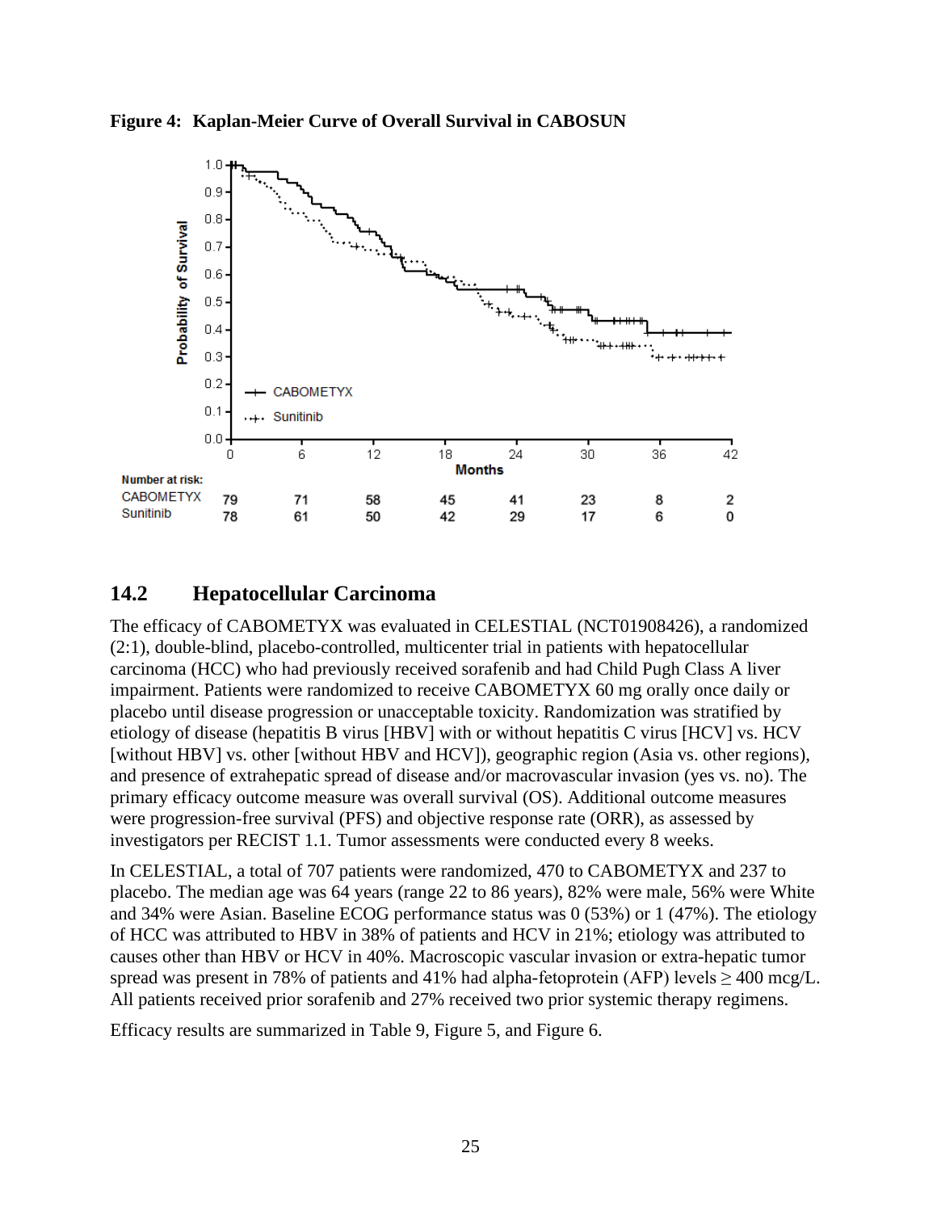![](_page_24_Figure_0.jpeg)

![](_page_24_Figure_1.jpeg)

## <span id="page-24-0"></span>**14.2 Hepatocellular Carcinoma**

The efficacy of CABOMETYX was evaluated in CELESTIAL (NCT01908426), a randomized (2:1), double-blind, placebo-controlled, multicenter trial in patients with hepatocellular carcinoma (HCC) who had previously received sorafenib and had Child Pugh Class A liver impairment. Patients were randomized to receive CABOMETYX 60 mg orally once daily or placebo until disease progression or unacceptable toxicity. Randomization was stratified by etiology of disease (hepatitis B virus [HBV] with or without hepatitis C virus [HCV] vs. HCV [without HBV] vs. other [without HBV and HCV]), geographic region (Asia vs. other regions), and presence of extrahepatic spread of disease and/or macrovascular invasion (yes vs. no). The primary efficacy outcome measure was overall survival (OS). Additional outcome measures were progression-free survival (PFS) and objective response rate (ORR), as assessed by investigators per RECIST 1.1. Tumor assessments were conducted every 8 weeks.

In CELESTIAL, a total of 707 patients were randomized, 470 to CABOMETYX and 237 to placebo. The median age was 64 years (range 22 to 86 years), 82% were male, 56% were White and 34% were Asian. Baseline ECOG performance status was 0 (53%) or 1 (47%). The etiology of HCC was attributed to HBV in 38% of patients and HCV in 21%; etiology was attributed to causes other than HBV or HCV in 40%. Macroscopic vascular invasion or extra-hepatic tumor spread was present in 78% of patients and 41% had alpha-fetoprotein (AFP) levels > 400 mcg/L. All patients received prior sorafenib and 27% received two prior systemic therapy regimens.

Efficacy results are summarized in Table 9, Figure 5, and Figure 6.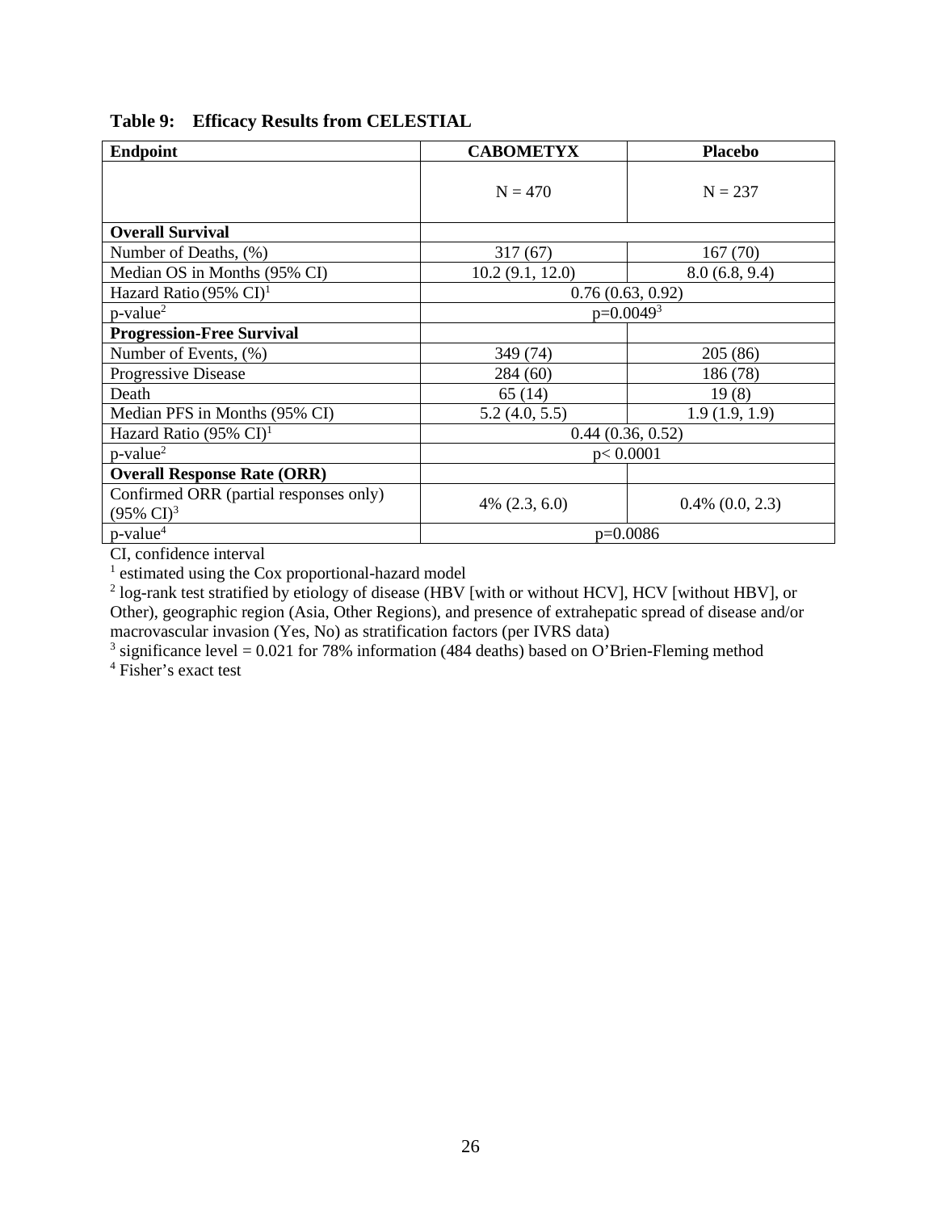| <b>Endpoint</b>                                                 | <b>CABOMETYX</b>   | <b>Placebo</b>       |
|-----------------------------------------------------------------|--------------------|----------------------|
|                                                                 | $N = 470$          | $N = 237$            |
| <b>Overall Survival</b>                                         |                    |                      |
| Number of Deaths, (%)                                           | 317(67)            | 167(70)              |
| Median OS in Months (95% CI)                                    | 10.2(9.1, 12.0)    | 8.0(6.8, 9.4)        |
| Hazard Ratio (95% $CI$ ) <sup>1</sup>                           | 0.76(0.63, 0.92)   |                      |
| $p$ -value <sup>2</sup>                                         | $p=0.0049^{3}$     |                      |
| <b>Progression-Free Survival</b>                                |                    |                      |
| Number of Events, (%)                                           | 349 (74)           | 205 (86)             |
| Progressive Disease                                             | 284 (60)           | 186 (78)             |
| Death                                                           | 65(14)             | 19(8)                |
| Median PFS in Months (95% CI)                                   | 5.2(4.0, 5.5)      | 1.9(1.9, 1.9)        |
| Hazard Ratio $(95\% \text{ CI})^1$                              | 0.44(0.36, 0.52)   |                      |
| $p$ -value <sup>2</sup>                                         | p < 0.0001         |                      |
| <b>Overall Response Rate (ORR)</b>                              |                    |                      |
| Confirmed ORR (partial responses only)<br>$(95\% \text{ CI})^3$ | $4\%$ $(2.3, 6.0)$ | $0.4\%$ $(0.0, 2.3)$ |
| $p$ -value <sup>4</sup>                                         | $p=0.0086$         |                      |

### **Table 9: Efficacy Results from CELESTIAL**

CI, confidence interval

<sup>1</sup> estimated using the Cox proportional-hazard model

<sup>2</sup> log-rank test stratified by etiology of disease (HBV [with or without HCV], HCV [without HBV], or Other), geographic region (Asia, Other Regions), and presence of extrahepatic spread of disease and/or macrovascular invasion (Yes, No) as stratification factors (per IVRS data)

<sup>3</sup> significance level = 0.021 for 78% information (484 deaths) based on O'Brien-Fleming method

<sup>4</sup> Fisher's exact test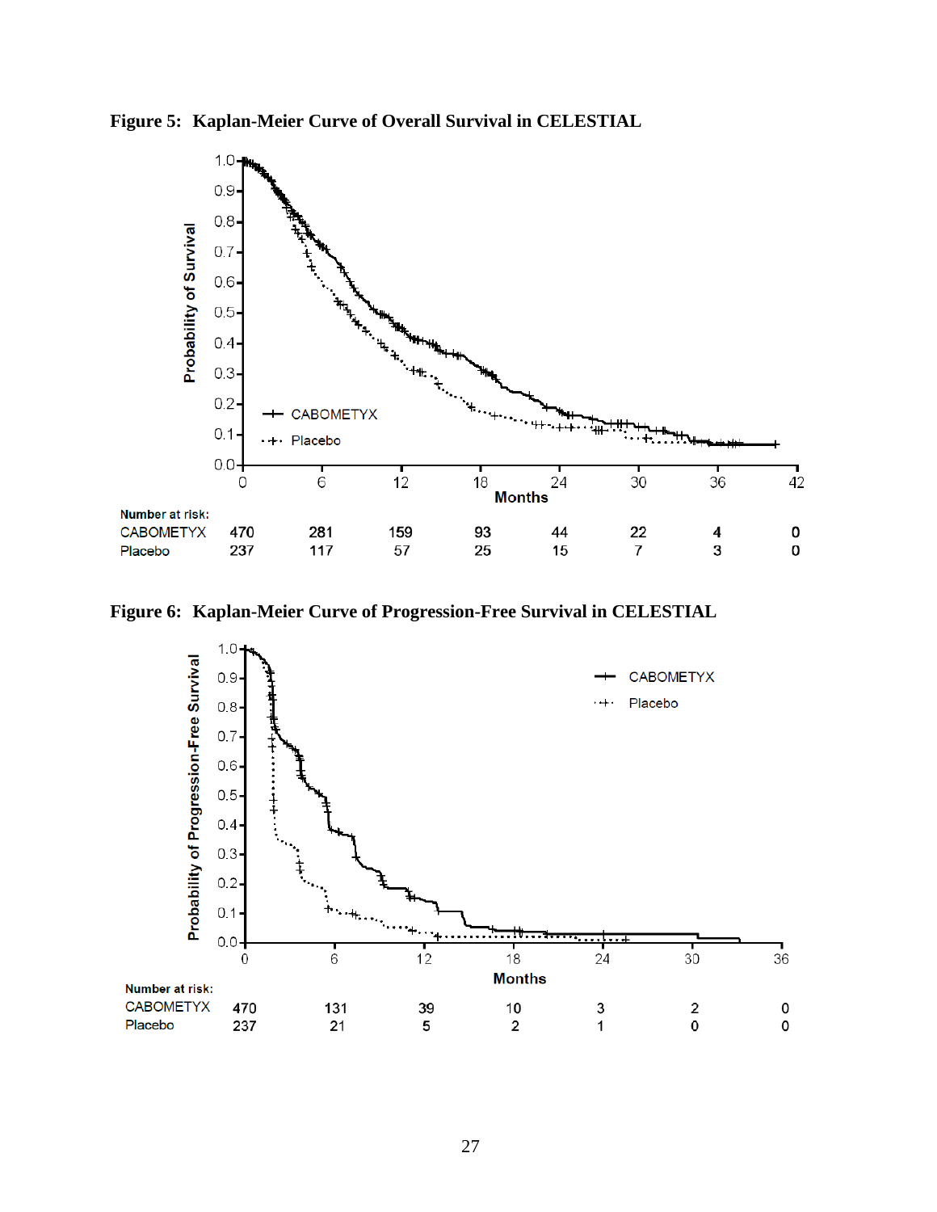![](_page_26_Figure_0.jpeg)

![](_page_26_Figure_1.jpeg)

**Figure 6: Kaplan-Meier Curve of Progression-Free Survival in CELESTIAL**

![](_page_26_Figure_3.jpeg)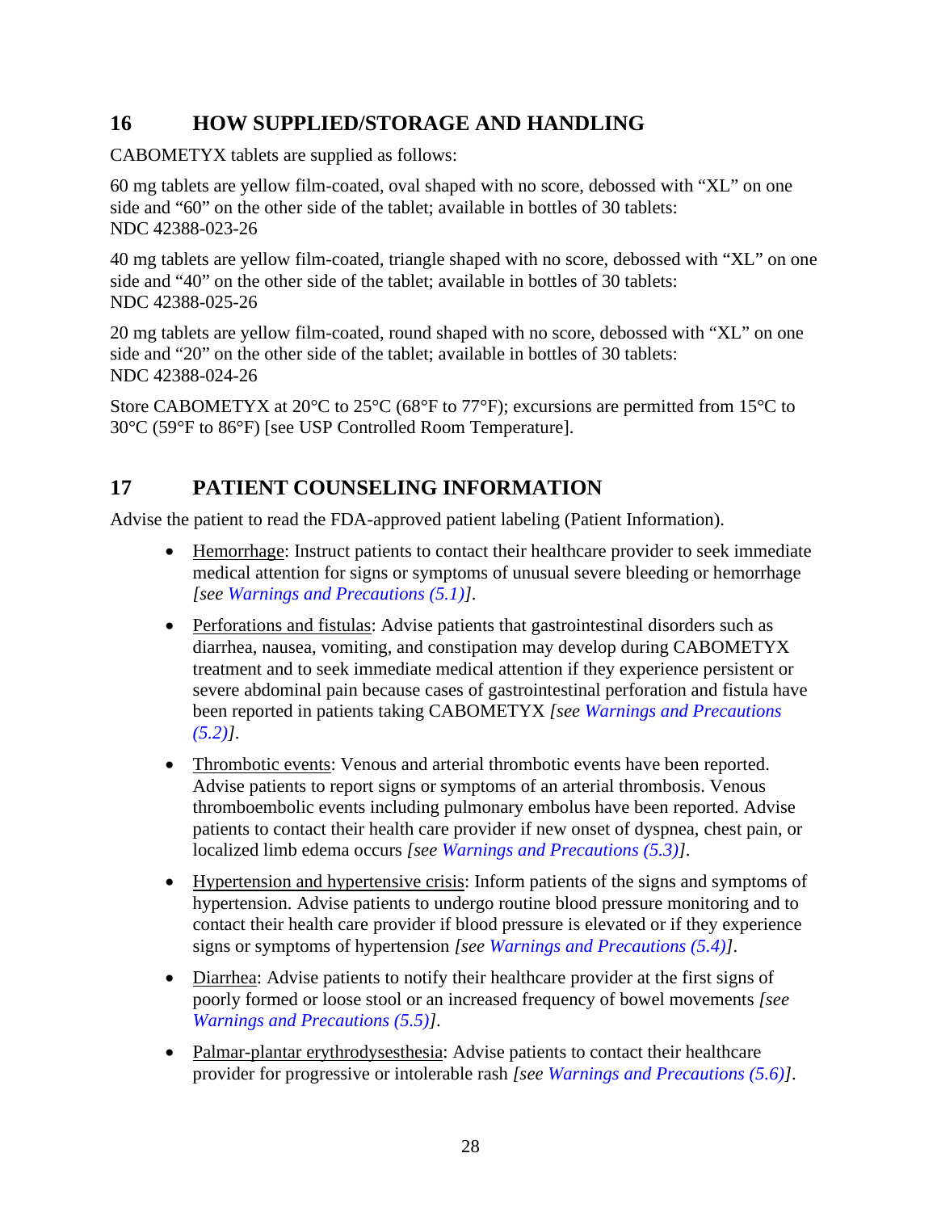## <span id="page-27-0"></span>**16 HOW SUPPLIED/STORAGE AND HANDLING**

CABOMETYX tablets are supplied as follows:

60 mg tablets are yellow film-coated, oval shaped with no score, debossed with "XL" on one side and "60" on the other side of the tablet; available in bottles of 30 tablets: NDC 42388-023-26

40 mg tablets are yellow film-coated, triangle shaped with no score, debossed with "XL" on one side and "40" on the other side of the tablet; available in bottles of 30 tablets: NDC 42388-025-26

20 mg tablets are yellow film-coated, round shaped with no score, debossed with "XL" on one side and "20" on the other side of the tablet; available in bottles of 30 tablets: NDC 42388-024-26

Store CABOMETYX at 20 $\degree$ C to 25 $\degree$ C (68 $\degree$ F to 77 $\degree$ F); excursions are permitted from 15 $\degree$ C to 30°C (59°F to 86°F) [see USP Controlled Room Temperature].

# <span id="page-27-1"></span>**17 PATIENT COUNSELING INFORMATION**

Advise the patient to read the FDA-approved patient labeling (Patient Information).

- Hemorrhage: Instruct patients to contact their healthcare provider to seek immediate medical attention for signs or symptoms of unusual severe bleeding or hemorrhage *[see [Warnings and Precautions \(5.1\)\]](#page-3-3)*.
- Perforations and fistulas: Advise patients that gastrointestinal disorders such as diarrhea, nausea, vomiting, and constipation may develop during CABOMETYX treatment and to seek immediate medical attention if they experience persistent or severe abdominal pain because cases of gastrointestinal perforation and fistula have been reported in patients taking CABOMETYX *[see [Warnings and Precautions](#page-3-4)  [\(5.2\)\]](#page-3-4)*.
- Thrombotic events: Venous and arterial thrombotic events have been reported. Advise patients to report signs or symptoms of an arterial thrombosis. Venous thromboembolic events including pulmonary embolus have been reported. Advise patients to contact their health care provider if new onset of dyspnea, chest pain, or localized limb edema occurs *[see [Warnings and Precautions \(5.3\)\]](#page-3-5)*.
- Hypertension and hypertensive crisis: Inform patients of the signs and symptoms of hypertension. Advise patients to undergo routine blood pressure monitoring and to contact their health care provider if blood pressure is elevated or if they experience signs or symptoms of hypertension *[see [Warnings and Precautions \(5.4\)\]](#page-4-0)*.
- Diarrhea: Advise patients to notify their healthcare provider at the first signs of poorly formed or loose stool or an increased frequency of bowel movements *[see [Warnings and Precautions \(5.5\)\]](#page-4-1)*.
- Palmar-plantar erythrodysesthesia: Advise patients to contact their healthcare provider for progressive or intolerable rash *[see [Warnings and Precautions \(5.6\)\]](#page-4-2)*.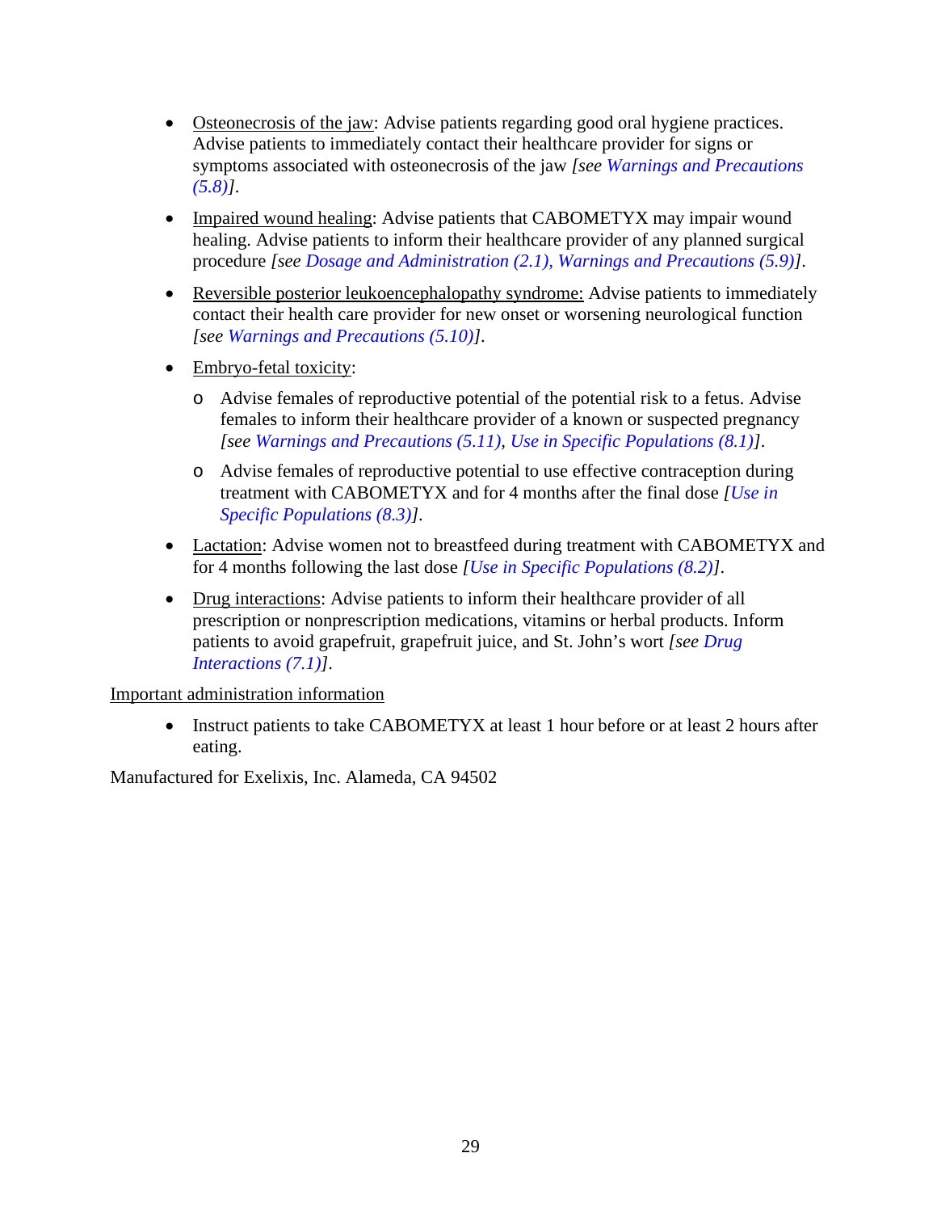- Osteonecrosis of the jaw: Advise patients regarding good oral hygiene practices. Advise patients to immediately contact their healthcare provider for signs or symptoms associated with osteonecrosis of the jaw *[see [Warnings and Precautions](#page-4-4)  [\(5.8\)\]](#page-4-4)*.
- Impaired wound healing: Advise patients that CABOMETYX may impair wound healing. Advise patients to inform their healthcare provider of any planned surgical procedure *[see [Dosage and Administration \(2.1\),](#page-1-4) [Warnings and Precautions \(5.9\)\]](#page-5-0)*.
- Reversible posterior leukoencephalopathy syndrome: Advise patients to immediately contact their health care provider for new onset or worsening neurological function *[see [Warnings and Precautions \(5.10\)\]](#page-5-1)*.
- Embryo-fetal toxicity:
	- o Advise females of reproductive potential of the potential risk to a fetus. Advise females to inform their healthcare provider of a known or suspected pregnancy *[see [Warnings and Precautions \(5.11\),](#page-5-2) [Use in Specific Populations \(8.1\)\]](#page-13-3)*.
	- o Advise females of reproductive potential to use effective contraception during treatment with CABOMETYX and for 4 months after the final dose *[\[Use in](#page-14-1)  [Specific Populations \(8.3\)\]](#page-14-1)*.
- Lactation: Advise women not to breastfeed during treatment with CABOMETYX and for 4 months following the last dose *[\[Use in Specific Populations \(8.2\)\]](#page-14-0)*.
- Drug interactions: Advise patients to inform their healthcare provider of all prescription or nonprescription medications, vitamins or herbal products. Inform patients to avoid grapefruit, grapefruit juice, and St. John's wort *[see [Drug](#page-13-1)  [Interactions \(7.1\)\]](#page-13-1)*.

#### Important administration information

• Instruct patients to take CABOMETYX at least 1 hour before or at least 2 hours after eating.

Manufactured for Exelixis, Inc. Alameda, CA 94502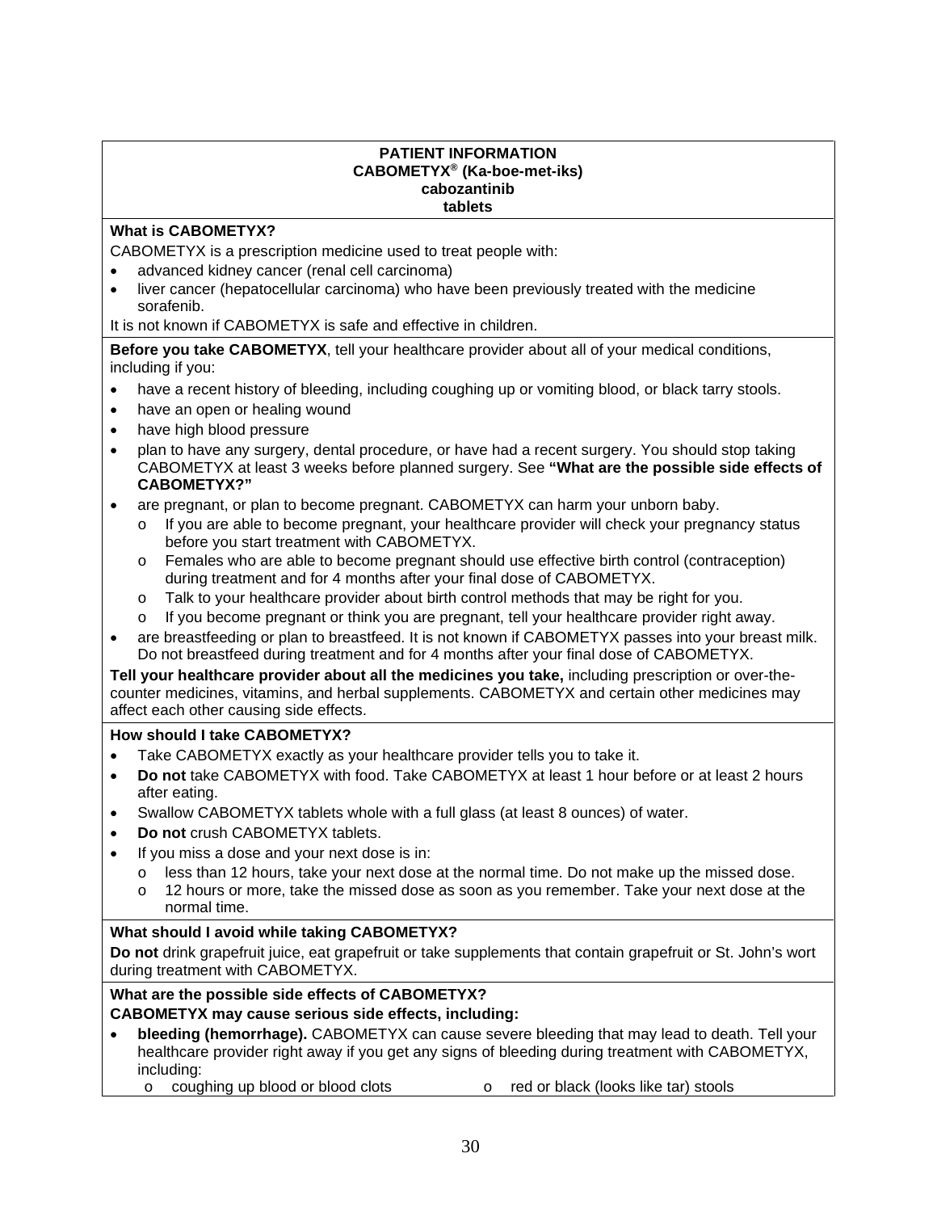#### **PATIENT INFORMATION CABOMETYX® (Ka-boe-met-iks) cabozantinib tablets**

#### **What is CABOMETYX?**

CABOMETYX is a prescription medicine used to treat people with:

- advanced kidney cancer (renal cell carcinoma)
- liver cancer (hepatocellular carcinoma) who have been previously treated with the medicine sorafenib.

It is not known if CABOMETYX is safe and effective in children.

**Before you take CABOMETYX**, tell your healthcare provider about all of your medical conditions, including if you:

- have a recent history of bleeding, including coughing up or vomiting blood, or black tarry stools.
- have an open or healing wound
- have high blood pressure
- plan to have any surgery, dental procedure, or have had a recent surgery. You should stop taking CABOMETYX at least 3 weeks before planned surgery. See **"What are the possible side effects of CABOMETYX?"**
- are pregnant, or plan to become pregnant. CABOMETYX can harm your unborn baby.
	- If you are able to become pregnant, your healthcare provider will check your pregnancy status before you start treatment with CABOMETYX.
	- o Females who are able to become pregnant should use effective birth control (contraception) during treatment and for 4 months after your final dose of CABOMETYX.
	- o Talk to your healthcare provider about birth control methods that may be right for you.
	- $\circ$  If you become pregnant or think you are pregnant, tell your healthcare provider right away.
- are breastfeeding or plan to breastfeed. It is not known if CABOMETYX passes into your breast milk. Do not breastfeed during treatment and for 4 months after your final dose of CABOMETYX.

**Tell your healthcare provider about all the medicines you take,** including prescription or over-thecounter medicines, vitamins, and herbal supplements. CABOMETYX and certain other medicines may affect each other causing side effects.

#### **How should I take CABOMETYX?**

- Take CABOMETYX exactly as your healthcare provider tells you to take it.
- **Do not** take CABOMETYX with food. Take CABOMETYX at least 1 hour before or at least 2 hours after eating.
- Swallow CABOMETYX tablets whole with a full glass (at least 8 ounces) of water.
- **Do not** crush CABOMETYX tablets.
- If you miss a dose and your next dose is in:
	- $\circ$  less than 12 hours, take your next dose at the normal time. Do not make up the missed dose.<br> $\circ$  12 hours or more, take the missed dose as soon as you remember. Take your next dose at the
	- 12 hours or more, take the missed dose as soon as you remember. Take your next dose at the normal time.

#### **What should I avoid while taking CABOMETYX?**

**Do not** drink grapefruit juice, eat grapefruit or take supplements that contain grapefruit or St. John's wort during treatment with CABOMETYX.

# **What are the possible side effects of CABOMETYX?**

#### **CABOMETYX may cause serious side effects, including:**

- **bleeding (hemorrhage).** CABOMETYX can cause severe bleeding that may lead to death. Tell your healthcare provider right away if you get any signs of bleeding during treatment with CABOMETYX, including:
	- o coughing up blood or blood clots o red or black (looks like tar) stools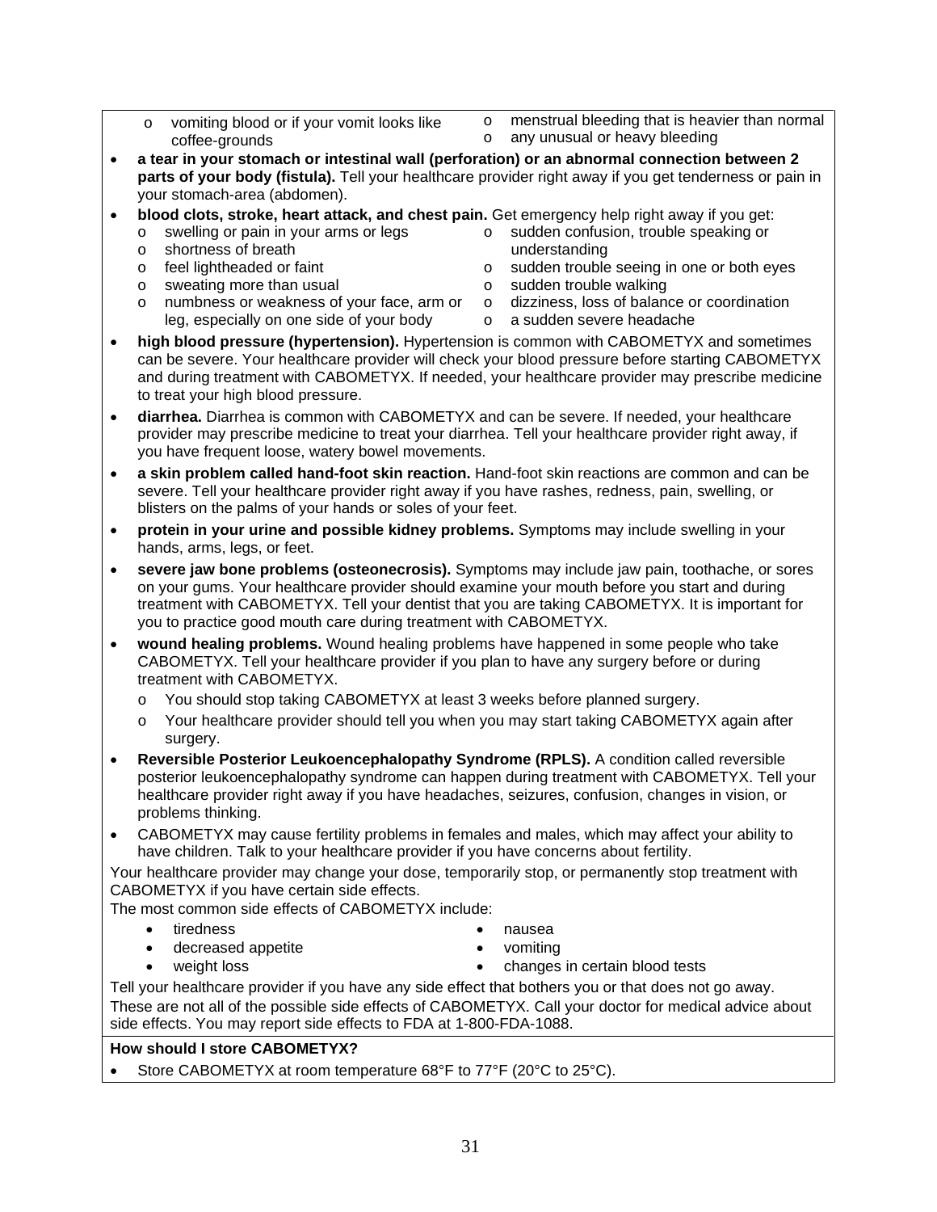- o vomiting blood or if your vomit looks like coffee-grounds
- $\circ$  menstrual bleeding that is heavier than normal  $\circ$  any unusual or heavy bleeding
- any unusual or heavy bleeding
- **a tear in your stomach or intestinal wall (perforation) or an abnormal connection between 2 parts of your body (fistula).** Tell your healthcare provider right away if you get tenderness or pain in your stomach-area (abdomen).
- **blood clots, stroke, heart attack, and chest pain.** Get emergency help right away if you get:
	- $\circ$  swelling or pain in your arms or legs<br> $\circ$  shortness of breath
	- shortness of breath
	- o feel lightheaded or faint
	- $\circ$  sweating more than usual<br> $\circ$  numbness or weakness of
	- numbness or weakness of your face, arm or leg, especially on one side of your body
- 
- - o sudden confusion, trouble speaking or understanding
	- o sudden trouble seeing in one or both eyes
	- o sudden trouble walking
	- o dizziness, loss of balance or coordination
	- o a sudden severe headache
- **high blood pressure (hypertension).** Hypertension is common with CABOMETYX and sometimes can be severe. Your healthcare provider will check your blood pressure before starting CABOMETYX and during treatment with CABOMETYX. If needed, your healthcare provider may prescribe medicine to treat your high blood pressure.
- **diarrhea.** Diarrhea is common with CABOMETYX and can be severe. If needed, your healthcare provider may prescribe medicine to treat your diarrhea. Tell your healthcare provider right away, if you have frequent loose, watery bowel movements.
- **a skin problem called hand-foot skin reaction.** Hand-foot skin reactions are common and can be severe. Tell your healthcare provider right away if you have rashes, redness, pain, swelling, or blisters on the palms of your hands or soles of your feet.
- **protein in your urine and possible kidney problems.** Symptoms may include swelling in your hands, arms, legs, or feet.
- **severe jaw bone problems (osteonecrosis).** Symptoms may include jaw pain, toothache, or sores on your gums. Your healthcare provider should examine your mouth before you start and during treatment with CABOMETYX. Tell your dentist that you are taking CABOMETYX. It is important for you to practice good mouth care during treatment with CABOMETYX.
- **wound healing problems.** Wound healing problems have happened in some people who take CABOMETYX. Tell your healthcare provider if you plan to have any surgery before or during treatment with CABOMETYX.
	- o You should stop taking CABOMETYX at least 3 weeks before planned surgery.
	- o Your healthcare provider should tell you when you may start taking CABOMETYX again after surgery.
- **Reversible Posterior Leukoencephalopathy Syndrome (RPLS).** A condition called reversible posterior leukoencephalopathy syndrome can happen during treatment with CABOMETYX. Tell your healthcare provider right away if you have headaches, seizures, confusion, changes in vision, or problems thinking.
- CABOMETYX may cause fertility problems in females and males, which may affect your ability to have children. Talk to your healthcare provider if you have concerns about fertility.

Your healthcare provider may change your dose, temporarily stop, or permanently stop treatment with CABOMETYX if you have certain side effects.

- The most common side effects of CABOMETYX include:
	- tiredness

• nausea

• decreased appetite

• vomiting

weight loss

• changes in certain blood tests

Tell your healthcare provider if you have any side effect that bothers you or that does not go away. These are not all of the possible side effects of CABOMETYX. Call your doctor for medical advice about side effects. You may report side effects to FDA at 1-800-FDA-1088.

#### **How should I store CABOMETYX?**

Store CABOMETYX at room temperature 68°F to 77°F (20°C to 25°C).